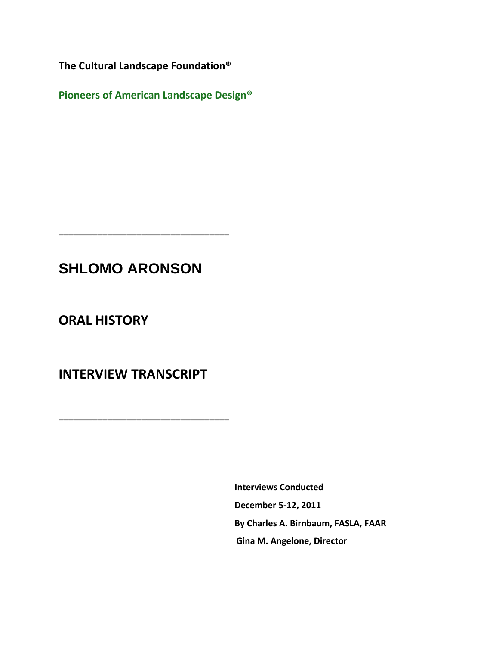**The Cultural Landscape Foundation®**

**Pioneers of American Landscape Design®**

# **SHLOMO ARONSON**

\_\_\_\_\_\_\_\_\_\_\_\_\_\_\_\_\_\_\_\_\_\_\_\_\_\_\_\_\_\_\_\_\_\_\_

**ORAL HISTORY** 

**INTERVIEW TRANSCRIPT**

\_\_\_\_\_\_\_\_\_\_\_\_\_\_\_\_\_\_\_\_\_\_\_\_\_\_\_\_\_\_\_\_\_\_\_

**Interviews Conducted December 5-12, 2011 By Charles A. Birnbaum, FASLA, FAAR Gina M. Angelone, Director**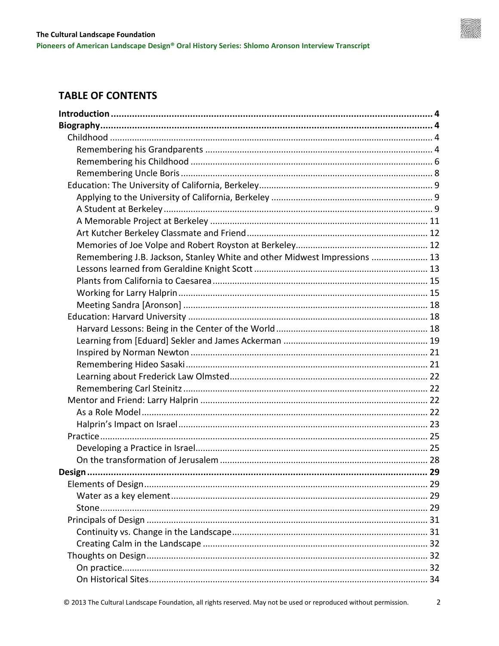

# **TABLE OF CONTENTS**

| Remembering J.B. Jackson, Stanley White and other Midwest Impressions  13 |  |
|---------------------------------------------------------------------------|--|
|                                                                           |  |
|                                                                           |  |
|                                                                           |  |
|                                                                           |  |
|                                                                           |  |
|                                                                           |  |
|                                                                           |  |
|                                                                           |  |
|                                                                           |  |
|                                                                           |  |
|                                                                           |  |
|                                                                           |  |
|                                                                           |  |
|                                                                           |  |
|                                                                           |  |
|                                                                           |  |
|                                                                           |  |
|                                                                           |  |
|                                                                           |  |
|                                                                           |  |
|                                                                           |  |
|                                                                           |  |
|                                                                           |  |
|                                                                           |  |
|                                                                           |  |
|                                                                           |  |
|                                                                           |  |

© 2013 The Cultural Landscape Foundation, all rights reserved. May not be used or reproduced without permission.

 $\overline{2}$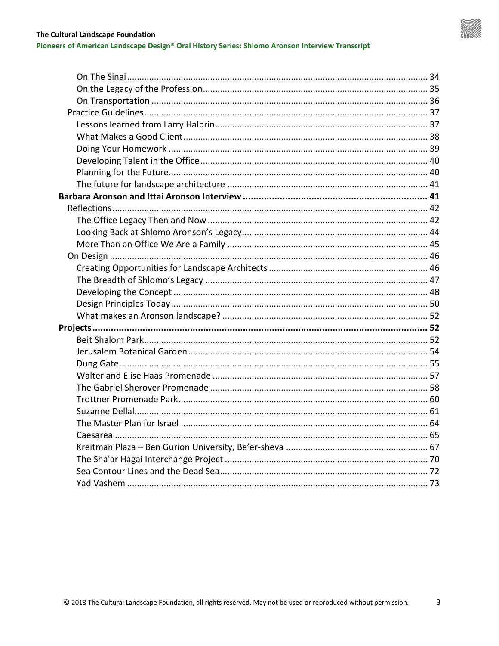

Pioneers of American Landscape Design® Oral History Series: Shlomo Aronson Interview Transcript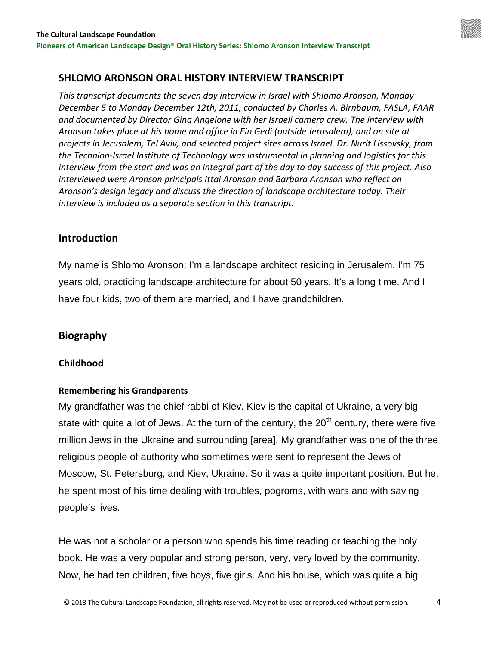# **SHLOMO ARONSON ORAL HISTORY INTERVIEW TRANSCRIPT**

*This transcript documents the seven day interview in Israel with Shlomo Aronson, Monday December 5 to Monday December 12th, 2011, conducted by Charles A. Birnbaum, FASLA, FAAR and documented by Director Gina Angelone with her Israeli camera crew. The interview with Aronson takes place at his home and office in Ein Gedi (outside Jerusalem), and on site at projects in Jerusalem, Tel Aviv, and selected project sites across Israel. Dr. Nurit Lissovsky, from the Technion-Israel Institute of Technology was instrumental in planning and logistics for this interview from the start and was an integral part of the day to day success of this project. Also interviewed were Aronson principals Ittai Aronson and Barbara Aronson who reflect on Aronson's design legacy and discuss the direction of landscape architecture today. Their interview is included as a separate section in this transcript.* 

# <span id="page-3-0"></span>**Introduction**

My name is Shlomo Aronson; I'm a landscape architect residing in Jerusalem. I'm 75 years old, practicing landscape architecture for about 50 years. It's a long time. And I have four kids, two of them are married, and I have grandchildren.

# <span id="page-3-1"></span>**Biography**

# <span id="page-3-2"></span>**Childhood**

# <span id="page-3-3"></span>**Remembering his Grandparents**

My grandfather was the chief rabbi of Kiev. Kiev is the capital of Ukraine, a very big state with quite a lot of Jews. At the turn of the century, the  $20<sup>th</sup>$  century, there were five million Jews in the Ukraine and surrounding [area]. My grandfather was one of the three religious people of authority who sometimes were sent to represent the Jews of Moscow, St. Petersburg, and Kiev, Ukraine. So it was a quite important position. But he, he spent most of his time dealing with troubles, pogroms, with wars and with saving people's lives.

He was not a scholar or a person who spends his time reading or teaching the holy book. He was a very popular and strong person, very, very loved by the community. Now, he had ten children, five boys, five girls. And his house, which was quite a big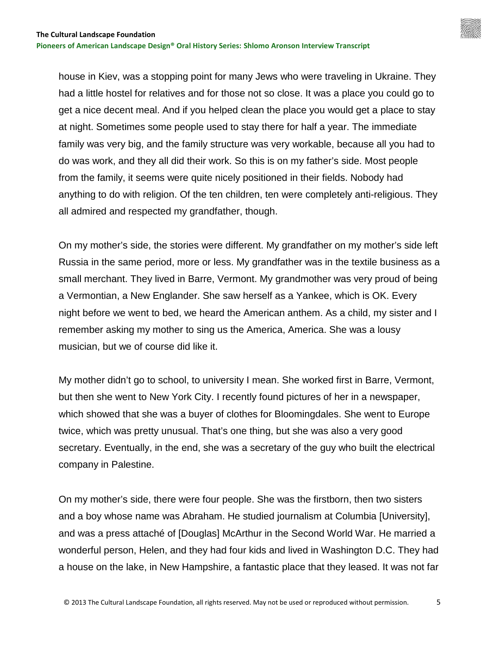**Pioneers of American Landscape Design® Oral History Series: Shlomo Aronson Interview Transcript**

house in Kiev, was a stopping point for many Jews who were traveling in Ukraine. They had a little hostel for relatives and for those not so close. It was a place you could go to get a nice decent meal. And if you helped clean the place you would get a place to stay at night. Sometimes some people used to stay there for half a year. The immediate family was very big, and the family structure was very workable, because all you had to do was work, and they all did their work. So this is on my father's side. Most people from the family, it seems were quite nicely positioned in their fields. Nobody had anything to do with religion. Of the ten children, ten were completely anti-religious. They all admired and respected my grandfather, though.

On my mother's side, the stories were different. My grandfather on my mother's side left Russia in the same period, more or less. My grandfather was in the textile business as a small merchant. They lived in Barre, Vermont. My grandmother was very proud of being a Vermontian, a New Englander. She saw herself as a Yankee, which is OK. Every night before we went to bed, we heard the American anthem. As a child, my sister and I remember asking my mother to sing us the America, America. She was a lousy musician, but we of course did like it.

My mother didn't go to school, to university I mean. She worked first in Barre, Vermont, but then she went to New York City. I recently found pictures of her in a newspaper, which showed that she was a buyer of clothes for Bloomingdales. She went to Europe twice, which was pretty unusual. That's one thing, but she was also a very good secretary. Eventually, in the end, she was a secretary of the guy who built the electrical company in Palestine.

On my mother's side, there were four people. She was the firstborn, then two sisters and a boy whose name was Abraham. He studied journalism at Columbia [University], and was a press attaché of [Douglas] McArthur in the Second World War. He married a wonderful person, Helen, and they had four kids and lived in Washington D.C. They had a house on the lake, in New Hampshire, a fantastic place that they leased. It was not far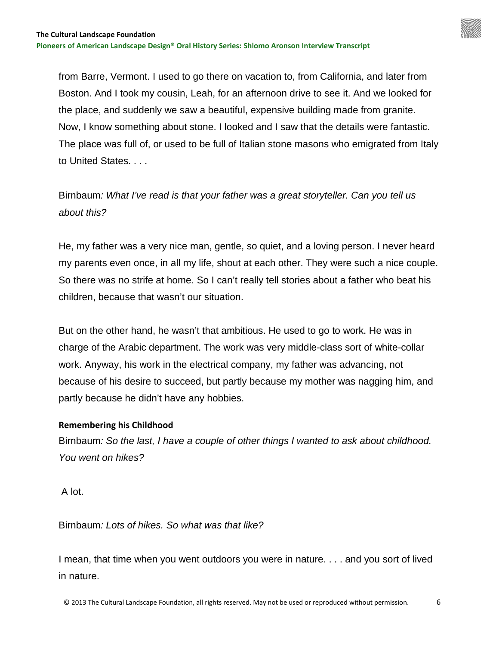from Barre, Vermont. I used to go there on vacation to, from California, and later from Boston. And I took my cousin, Leah, for an afternoon drive to see it. And we looked for the place, and suddenly we saw a beautiful, expensive building made from granite. Now, I know something about stone. I looked and I saw that the details were fantastic. The place was full of, or used to be full of Italian stone masons who emigrated from Italy to United States. . . .

Birnbaum*: What I've read is that your father was a great storyteller. Can you tell us about this?*

He, my father was a very nice man, gentle, so quiet, and a loving person. I never heard my parents even once, in all my life, shout at each other. They were such a nice couple. So there was no strife at home. So I can't really tell stories about a father who beat his children, because that wasn't our situation.

But on the other hand, he wasn't that ambitious. He used to go to work. He was in charge of the Arabic department. The work was very middle-class sort of white-collar work. Anyway, his work in the electrical company, my father was advancing, not because of his desire to succeed, but partly because my mother was nagging him, and partly because he didn't have any hobbies.

# <span id="page-5-0"></span>**Remembering his Childhood**

Birnbaum*: So the last, I have a couple of other things I wanted to ask about childhood. You went on hikes?*

A lot.

Birnbaum*: Lots of hikes. So what was that like?*

I mean, that time when you went outdoors you were in nature. . . . and you sort of lived in nature.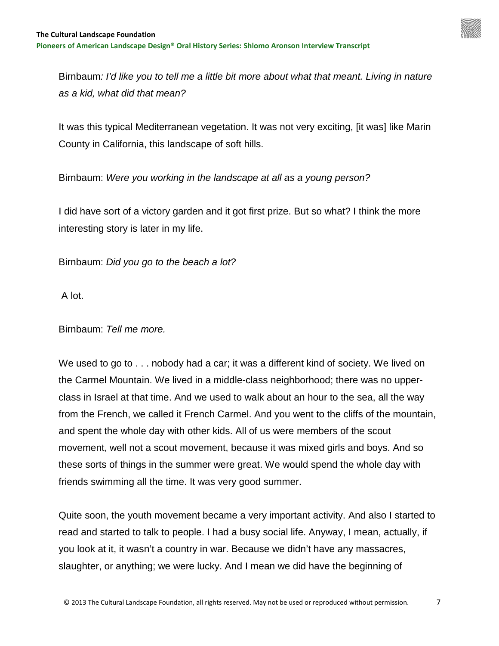

Birnbaum*: I'd like you to tell me a little bit more about what that meant. Living in nature as a kid, what did that mean?*

It was this typical Mediterranean vegetation. It was not very exciting, [it was] like Marin County in California, this landscape of soft hills.

Birnbaum: *Were you working in the landscape at all as a young person?* 

I did have sort of a victory garden and it got first prize. But so what? I think the more interesting story is later in my life.

Birnbaum: *Did you go to the beach a lot?*

A lot.

Birnbaum: *Tell me more.*

We used to go to . . . nobody had a car; it was a different kind of society. We lived on the Carmel Mountain. We lived in a middle-class neighborhood; there was no upperclass in Israel at that time. And we used to walk about an hour to the sea, all the way from the French, we called it French Carmel. And you went to the cliffs of the mountain, and spent the whole day with other kids. All of us were members of the scout movement, well not a scout movement, because it was mixed girls and boys. And so these sorts of things in the summer were great. We would spend the whole day with friends swimming all the time. It was very good summer.

Quite soon, the youth movement became a very important activity. And also I started to read and started to talk to people. I had a busy social life. Anyway, I mean, actually, if you look at it, it wasn't a country in war. Because we didn't have any massacres, slaughter, or anything; we were lucky. And I mean we did have the beginning of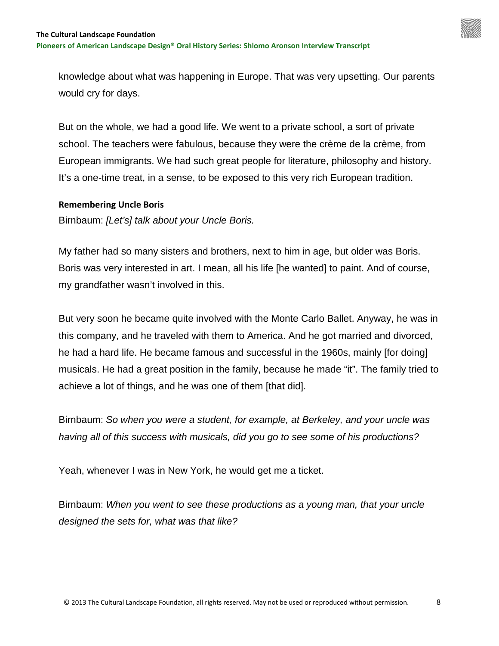

knowledge about what was happening in Europe. That was very upsetting. Our parents would cry for days.

But on the whole, we had a good life. We went to a private school, a sort of private school. The teachers were fabulous, because they were the crème de la crème, from European immigrants. We had such great people for literature, philosophy and history. It's a one-time treat, in a sense, to be exposed to this very rich European tradition.

#### <span id="page-7-0"></span>**Remembering Uncle Boris**

Birnbaum: *[Let's] talk about your Uncle Boris.*

My father had so many sisters and brothers, next to him in age, but older was Boris. Boris was very interested in art. I mean, all his life [he wanted] to paint. And of course, my grandfather wasn't involved in this.

But very soon he became quite involved with the Monte Carlo Ballet. Anyway, he was in this company, and he traveled with them to America. And he got married and divorced, he had a hard life. He became famous and successful in the 1960s, mainly [for doing] musicals. He had a great position in the family, because he made "it". The family tried to achieve a lot of things, and he was one of them [that did].

Birnbaum: *So when you were a student, for example, at Berkeley, and your uncle was having all of this success with musicals, did you go to see some of his productions?*

Yeah, whenever I was in New York, he would get me a ticket.

Birnbaum: *When you went to see these productions as a young man, that your uncle designed the sets for, what was that like?*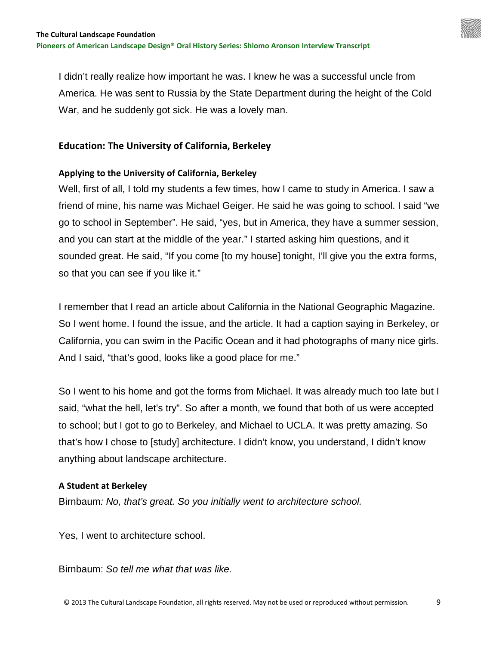

I didn't really realize how important he was. I knew he was a successful uncle from America. He was sent to Russia by the State Department during the height of the Cold War, and he suddenly got sick. He was a lovely man.

# <span id="page-8-0"></span>**Education: The University of California, Berkeley**

# <span id="page-8-1"></span>**Applying to the University of California, Berkeley**

Well, first of all, I told my students a few times, how I came to study in America. I saw a friend of mine, his name was Michael Geiger. He said he was going to school. I said "we go to school in September". He said, "yes, but in America, they have a summer session, and you can start at the middle of the year." I started asking him questions, and it sounded great. He said, "If you come [to my house] tonight, I'll give you the extra forms, so that you can see if you like it."

I remember that I read an article about California in the National Geographic Magazine. So I went home. I found the issue, and the article. It had a caption saying in Berkeley, or California, you can swim in the Pacific Ocean and it had photographs of many nice girls. And I said, "that's good, looks like a good place for me."

So I went to his home and got the forms from Michael. It was already much too late but I said, "what the hell, let's try". So after a month, we found that both of us were accepted to school; but I got to go to Berkeley, and Michael to UCLA. It was pretty amazing. So that's how I chose to [study] architecture. I didn't know, you understand, I didn't know anything about landscape architecture.

# <span id="page-8-2"></span>**A Student at Berkeley**

Birnbaum*: No, that's great. So you initially went to architecture school.*

Yes, I went to architecture school.

Birnbaum: *So tell me what that was like.*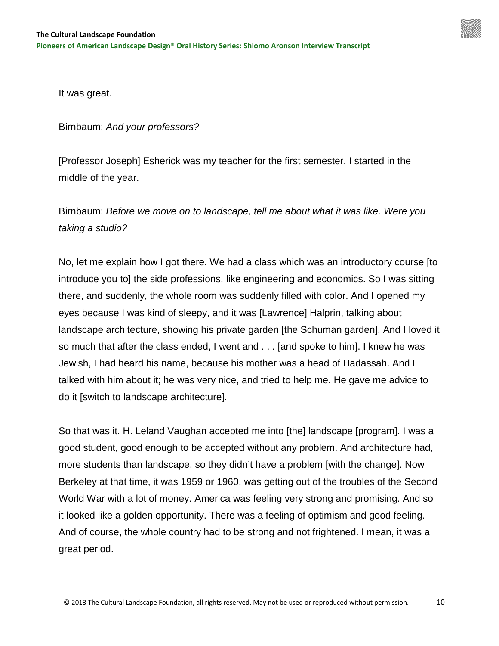It was great.

Birnbaum: *And your professors?*

[Professor Joseph] Esherick was my teacher for the first semester. I started in the middle of the year.

Birnbaum: *Before we move on to landscape, tell me about what it was like. Were you taking a studio?*

No, let me explain how I got there. We had a class which was an introductory course [to introduce you to] the side professions, like engineering and economics. So I was sitting there, and suddenly, the whole room was suddenly filled with color. And I opened my eyes because I was kind of sleepy, and it was [Lawrence] Halprin, talking about landscape architecture, showing his private garden [the Schuman garden]. And I loved it so much that after the class ended, I went and . . . [and spoke to him]. I knew he was Jewish, I had heard his name, because his mother was a head of Hadassah. And I talked with him about it; he was very nice, and tried to help me. He gave me advice to do it [switch to landscape architecture].

So that was it. H. Leland Vaughan accepted me into [the] landscape [program]. I was a good student, good enough to be accepted without any problem. And architecture had, more students than landscape, so they didn't have a problem [with the change]. Now Berkeley at that time, it was 1959 or 1960, was getting out of the troubles of the Second World War with a lot of money. America was feeling very strong and promising. And so it looked like a golden opportunity. There was a feeling of optimism and good feeling. And of course, the whole country had to be strong and not frightened. I mean, it was a great period.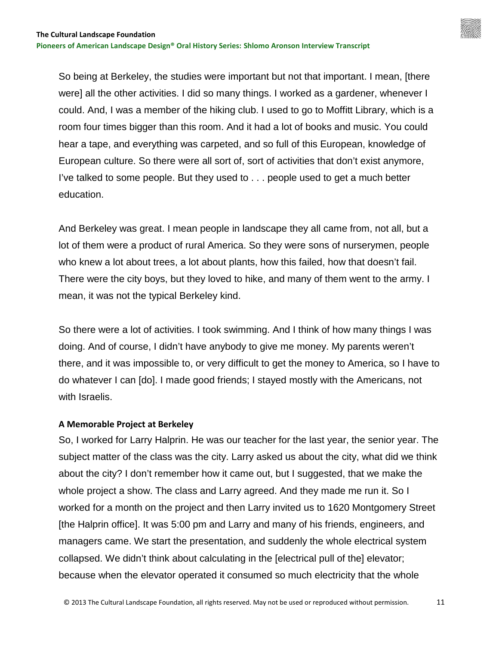**Pioneers of American Landscape Design® Oral History Series: Shlomo Aronson Interview Transcript**

So being at Berkeley, the studies were important but not that important. I mean, [there were] all the other activities. I did so many things. I worked as a gardener, whenever I could. And, I was a member of the hiking club. I used to go to Moffitt Library, which is a room four times bigger than this room. And it had a lot of books and music. You could hear a tape, and everything was carpeted, and so full of this European, knowledge of European culture. So there were all sort of, sort of activities that don't exist anymore, I've talked to some people. But they used to . . . people used to get a much better education.

And Berkeley was great. I mean people in landscape they all came from, not all, but a lot of them were a product of rural America. So they were sons of nurserymen, people who knew a lot about trees, a lot about plants, how this failed, how that doesn't fail. There were the city boys, but they loved to hike, and many of them went to the army. I mean, it was not the typical Berkeley kind.

So there were a lot of activities. I took swimming. And I think of how many things I was doing. And of course, I didn't have anybody to give me money. My parents weren't there, and it was impossible to, or very difficult to get the money to America, so I have to do whatever I can [do]. I made good friends; I stayed mostly with the Americans, not with Israelis.

#### <span id="page-10-0"></span>**A Memorable Project at Berkeley**

So, I worked for Larry Halprin. He was our teacher for the last year, the senior year. The subject matter of the class was the city. Larry asked us about the city, what did we think about the city? I don't remember how it came out, but I suggested, that we make the whole project a show. The class and Larry agreed. And they made me run it. So I worked for a month on the project and then Larry invited us to 1620 Montgomery Street [the Halprin office]. It was 5:00 pm and Larry and many of his friends, engineers, and managers came. We start the presentation, and suddenly the whole electrical system collapsed. We didn't think about calculating in the [electrical pull of the] elevator; because when the elevator operated it consumed so much electricity that the whole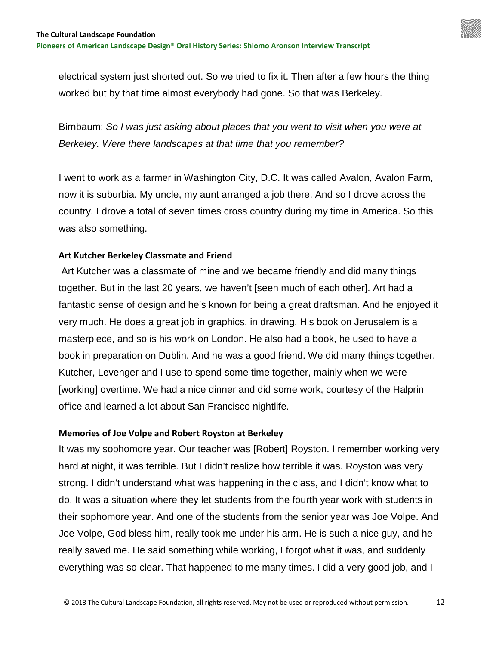

electrical system just shorted out. So we tried to fix it. Then after a few hours the thing worked but by that time almost everybody had gone. So that was Berkeley.

Birnbaum: *So I was just asking about places that you went to visit when you were at Berkeley. Were there landscapes at that time that you remember?* 

I went to work as a farmer in Washington City, D.C. It was called Avalon, Avalon Farm, now it is suburbia. My uncle, my aunt arranged a job there. And so I drove across the country. I drove a total of seven times cross country during my time in America. So this was also something.

#### <span id="page-11-0"></span>**Art Kutcher Berkeley Classmate and Friend**

Art Kutcher was a classmate of mine and we became friendly and did many things together. But in the last 20 years, we haven't [seen much of each other]. Art had a fantastic sense of design and he's known for being a great draftsman. And he enjoyed it very much. He does a great job in graphics, in drawing. His book on Jerusalem is a masterpiece, and so is his work on London. He also had a book, he used to have a book in preparation on Dublin. And he was a good friend. We did many things together. Kutcher, Levenger and I use to spend some time together, mainly when we were [working] overtime. We had a nice dinner and did some work, courtesy of the Halprin office and learned a lot about San Francisco nightlife.

#### <span id="page-11-1"></span>**Memories of Joe Volpe and Robert Royston at Berkeley**

It was my sophomore year. Our teacher was [Robert] Royston. I remember working very hard at night, it was terrible. But I didn't realize how terrible it was. Royston was very strong. I didn't understand what was happening in the class, and I didn't know what to do. It was a situation where they let students from the fourth year work with students in their sophomore year. And one of the students from the senior year was Joe Volpe. And Joe Volpe, God bless him, really took me under his arm. He is such a nice guy, and he really saved me. He said something while working, I forgot what it was, and suddenly everything was so clear. That happened to me many times. I did a very good job, and I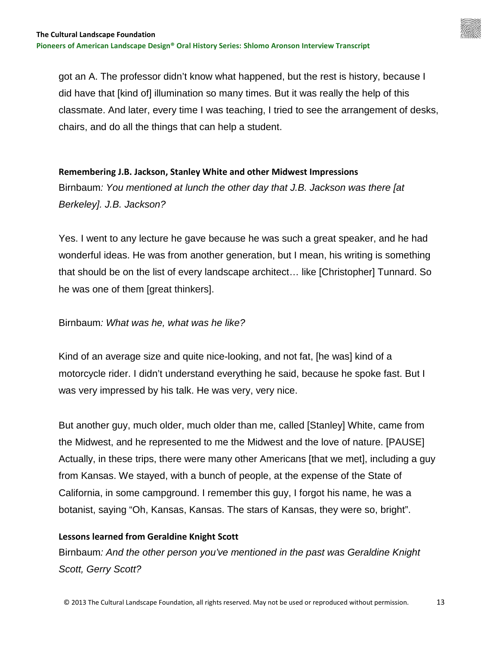got an A. The professor didn't know what happened, but the rest is history, because I did have that [kind of] illumination so many times. But it was really the help of this classmate. And later, every time I was teaching, I tried to see the arrangement of desks, chairs, and do all the things that can help a student.

<span id="page-12-0"></span>**Remembering J.B. Jackson, Stanley White and other Midwest Impressions** Birnbaum*: You mentioned at lunch the other day that J.B. Jackson was there [at Berkeley]. J.B. Jackson?*

Yes. I went to any lecture he gave because he was such a great speaker, and he had wonderful ideas. He was from another generation, but I mean, his writing is something that should be on the list of every landscape architect… like [Christopher] Tunnard. So he was one of them [great thinkers].

Birnbaum*: What was he, what was he like?* 

Kind of an average size and quite nice-looking, and not fat, [he was] kind of a motorcycle rider. I didn't understand everything he said, because he spoke fast. But I was very impressed by his talk. He was very, very nice.

But another guy, much older, much older than me, called [Stanley] White, came from the Midwest, and he represented to me the Midwest and the love of nature. [PAUSE] Actually, in these trips, there were many other Americans [that we met], including a guy from Kansas. We stayed, with a bunch of people, at the expense of the State of California, in some campground. I remember this guy, I forgot his name, he was a botanist, saying "Oh, Kansas, Kansas. The stars of Kansas, they were so, bright".

# <span id="page-12-1"></span>**Lessons learned from Geraldine Knight Scott**

Birnbaum*: And the other person you've mentioned in the past was Geraldine Knight Scott, Gerry Scott?*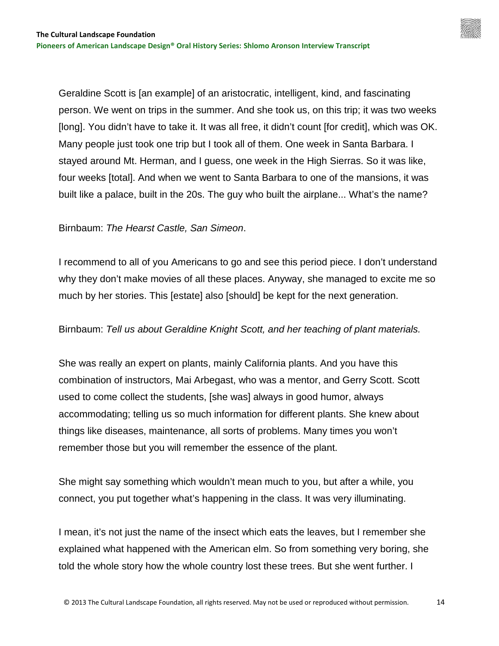Geraldine Scott is [an example] of an aristocratic, intelligent, kind, and fascinating person. We went on trips in the summer. And she took us, on this trip; it was two weeks [long]. You didn't have to take it. It was all free, it didn't count [for credit], which was OK. Many people just took one trip but I took all of them. One week in Santa Barbara. I stayed around Mt. Herman, and I guess, one week in the High Sierras. So it was like, four weeks [total]. And when we went to Santa Barbara to one of the mansions, it was built like a palace, built in the 20s. The guy who built the airplane... What's the name?

#### Birnbaum: *The Hearst Castle, San Simeon*.

I recommend to all of you Americans to go and see this period piece. I don't understand why they don't make movies of all these places. Anyway, she managed to excite me so much by her stories. This [estate] also [should] be kept for the next generation.

#### Birnbaum: *Tell us about Geraldine Knight Scott, and her teaching of plant materials.*

She was really an expert on plants, mainly California plants. And you have this combination of instructors, Mai Arbegast, who was a mentor, and Gerry Scott. Scott used to come collect the students, [she was] always in good humor, always accommodating; telling us so much information for different plants. She knew about things like diseases, maintenance, all sorts of problems. Many times you won't remember those but you will remember the essence of the plant.

She might say something which wouldn't mean much to you, but after a while, you connect, you put together what's happening in the class. It was very illuminating.

I mean, it's not just the name of the insect which eats the leaves, but I remember she explained what happened with the American elm. So from something very boring, she told the whole story how the whole country lost these trees. But she went further. I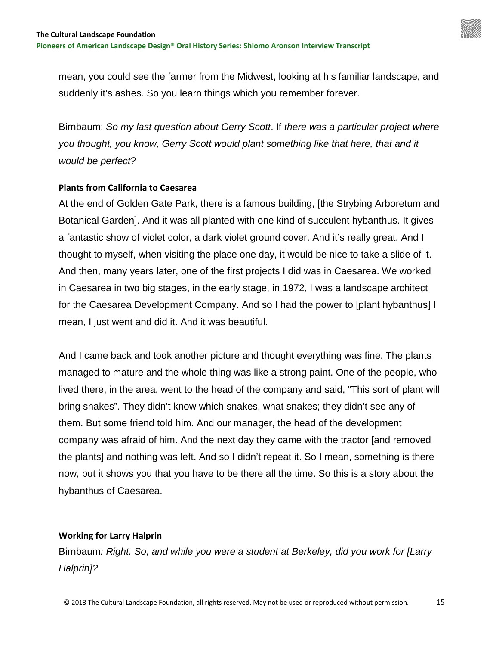mean, you could see the farmer from the Midwest, looking at his familiar landscape, and suddenly it's ashes. So you learn things which you remember forever.

Birnbaum: *So my last question about Gerry Scott*. If *there was a particular project where you thought, you know, Gerry Scott would plant something like that here, that and it would be perfect?*

#### <span id="page-14-0"></span>**Plants from California to Caesarea**

At the end of Golden Gate Park, there is a famous building, [the Strybing Arboretum and Botanical Garden]. And it was all planted with one kind of succulent hybanthus. It gives a fantastic show of violet color, a dark violet ground cover. And it's really great. And I thought to myself, when visiting the place one day, it would be nice to take a slide of it. And then, many years later, one of the first projects I did was in Caesarea. We worked in Caesarea in two big stages, in the early stage, in 1972, I was a landscape architect for the Caesarea Development Company. And so I had the power to [plant hybanthus] I mean, I just went and did it. And it was beautiful.

And I came back and took another picture and thought everything was fine. The plants managed to mature and the whole thing was like a strong paint. One of the people, who lived there, in the area, went to the head of the company and said, "This sort of plant will bring snakes". They didn't know which snakes, what snakes; they didn't see any of them. But some friend told him. And our manager, the head of the development company was afraid of him. And the next day they came with the tractor [and removed the plants] and nothing was left. And so I didn't repeat it. So I mean, something is there now, but it shows you that you have to be there all the time. So this is a story about the hybanthus of Caesarea.

# <span id="page-14-1"></span>**Working for Larry Halprin**

Birnbaum*: Right. So, and while you were a student at Berkeley, did you work for [Larry Halprin]?*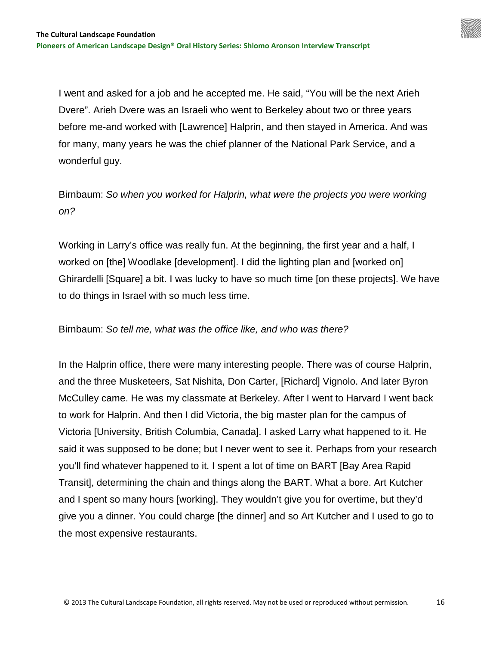I went and asked for a job and he accepted me. He said, "You will be the next Arieh Dvere". Arieh Dvere was an Israeli who went to Berkeley about two or three years before me-and worked with [Lawrence] Halprin, and then stayed in America. And was for many, many years he was the chief planner of the National Park Service, and a wonderful guy.

Birnbaum: *So when you worked for Halprin, what were the projects you were working on?*

Working in Larry's office was really fun. At the beginning, the first year and a half, I worked on [the] Woodlake [development]. I did the lighting plan and [worked on] Ghirardelli [Square] a bit. I was lucky to have so much time [on these projects]. We have to do things in Israel with so much less time.

#### Birnbaum: *So tell me, what was the office like, and who was there?*

In the Halprin office, there were many interesting people. There was of course Halprin, and the three Musketeers, Sat Nishita, Don Carter, [Richard] Vignolo. And later Byron McCulley came. He was my classmate at Berkeley. After I went to Harvard I went back to work for Halprin. And then I did Victoria, the big master plan for the campus of Victoria [University, British Columbia, Canada]. I asked Larry what happened to it. He said it was supposed to be done; but I never went to see it. Perhaps from your research you'll find whatever happened to it. I spent a lot of time on BART [Bay Area Rapid Transit], determining the chain and things along the BART. What a bore. Art Kutcher and I spent so many hours [working]. They wouldn't give you for overtime, but they'd give you a dinner. You could charge [the dinner] and so Art Kutcher and I used to go to the most expensive restaurants.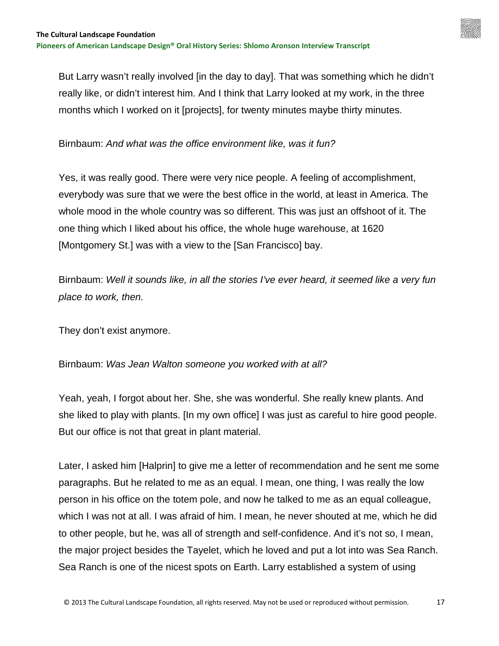But Larry wasn't really involved [in the day to day]. That was something which he didn't really like, or didn't interest him. And I think that Larry looked at my work, in the three months which I worked on it [projects], for twenty minutes maybe thirty minutes.

Birnbaum: *And what was the office environment like, was it fun?*

Yes, it was really good. There were very nice people. A feeling of accomplishment, everybody was sure that we were the best office in the world, at least in America. The whole mood in the whole country was so different. This was just an offshoot of it. The one thing which I liked about his office, the whole huge warehouse, at 1620 [Montgomery St.] was with a view to the [San Francisco] bay.

Birnbaum: *Well it sounds like, in all the stories I've ever heard, it seemed like a very fun place to work, then.*

They don't exist anymore.

Birnbaum: *Was Jean Walton someone you worked with at all?* 

Yeah, yeah, I forgot about her. She, she was wonderful. She really knew plants. And she liked to play with plants. [In my own office] I was just as careful to hire good people. But our office is not that great in plant material.

Later, I asked him [Halprin] to give me a letter of recommendation and he sent me some paragraphs. But he related to me as an equal. I mean, one thing, I was really the low person in his office on the totem pole, and now he talked to me as an equal colleague, which I was not at all. I was afraid of him. I mean, he never shouted at me, which he did to other people, but he, was all of strength and self-confidence. And it's not so, I mean, the major project besides the Tayelet, which he loved and put a lot into was Sea Ranch. Sea Ranch is one of the nicest spots on Earth. Larry established a system of using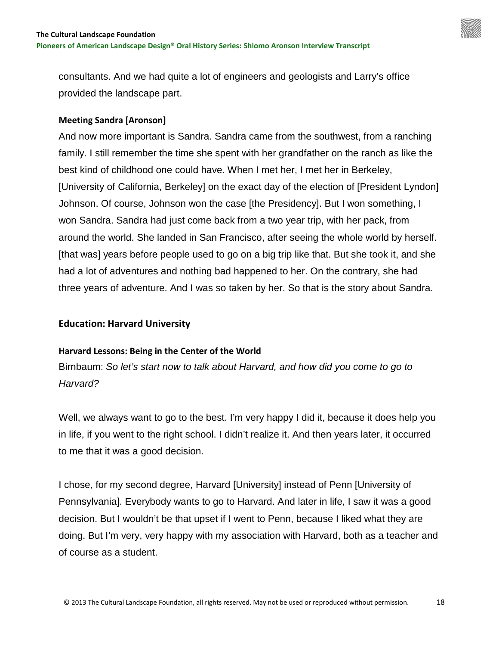

consultants. And we had quite a lot of engineers and geologists and Larry's office provided the landscape part.

#### <span id="page-17-0"></span>**Meeting Sandra [Aronson]**

And now more important is Sandra. Sandra came from the southwest, from a ranching family. I still remember the time she spent with her grandfather on the ranch as like the best kind of childhood one could have. When I met her, I met her in Berkeley, [University of California, Berkeley] on the exact day of the election of [President Lyndon] Johnson. Of course, Johnson won the case [the Presidency]. But I won something, I won Sandra. Sandra had just come back from a two year trip, with her pack, from around the world. She landed in San Francisco, after seeing the whole world by herself. [that was] years before people used to go on a big trip like that. But she took it, and she had a lot of adventures and nothing bad happened to her. On the contrary, she had three years of adventure. And I was so taken by her. So that is the story about Sandra.

# <span id="page-17-1"></span>**Education: Harvard University**

#### <span id="page-17-2"></span>**Harvard Lessons: Being in the Center of the World**

Birnbaum: *So let's start now to talk about Harvard, and how did you come to go to Harvard?*

Well, we always want to go to the best. I'm very happy I did it, because it does help you in life, if you went to the right school. I didn't realize it. And then years later, it occurred to me that it was a good decision.

I chose, for my second degree, Harvard [University] instead of Penn [University of Pennsylvania]. Everybody wants to go to Harvard. And later in life, I saw it was a good decision. But I wouldn't be that upset if I went to Penn, because I liked what they are doing. But I'm very, very happy with my association with Harvard, both as a teacher and of course as a student.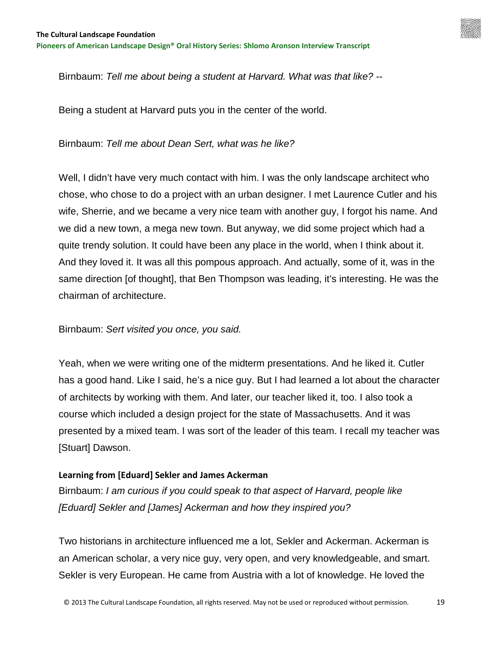

Birnbaum: *Tell me about being a student at Harvard. What was that like?* --

Being a student at Harvard puts you in the center of the world.

Birnbaum: *Tell me about Dean Sert, what was he like?*

Well, I didn't have very much contact with him. I was the only landscape architect who chose, who chose to do a project with an urban designer. I met Laurence Cutler and his wife, Sherrie, and we became a very nice team with another guy, I forgot his name. And we did a new town, a mega new town. But anyway, we did some project which had a quite trendy solution. It could have been any place in the world, when I think about it. And they loved it. It was all this pompous approach. And actually, some of it, was in the same direction [of thought], that Ben Thompson was leading, it's interesting. He was the chairman of architecture.

Birnbaum: *Sert visited you once, you said.*

Yeah, when we were writing one of the midterm presentations. And he liked it. Cutler has a good hand. Like I said, he's a nice guy. But I had learned a lot about the character of architects by working with them. And later, our teacher liked it, too. I also took a course which included a design project for the state of Massachusetts. And it was presented by a mixed team. I was sort of the leader of this team. I recall my teacher was [Stuart] Dawson.

#### <span id="page-18-0"></span>**Learning from [Eduard] Sekler and James Ackerman**

Birnbaum: *I am curious if you could speak to that aspect of Harvard, people like [Eduard] Sekler and [James] Ackerman and how they inspired you?*

Two historians in architecture influenced me a lot, Sekler and Ackerman. Ackerman is an American scholar, a very nice guy, very open, and very knowledgeable, and smart. Sekler is very European. He came from Austria with a lot of knowledge. He loved the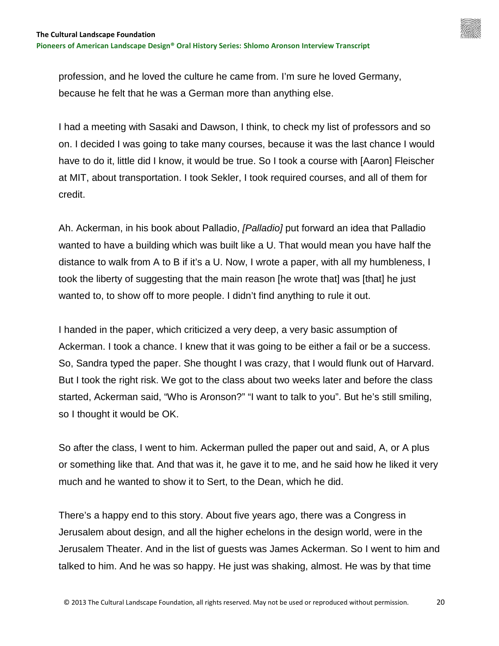profession, and he loved the culture he came from. I'm sure he loved Germany, because he felt that he was a German more than anything else.

I had a meeting with Sasaki and Dawson, I think, to check my list of professors and so on. I decided I was going to take many courses, because it was the last chance I would have to do it, little did I know, it would be true. So I took a course with [Aaron] Fleischer at MIT, about transportation. I took Sekler, I took required courses, and all of them for credit.

Ah. Ackerman, in his book about Palladio, *[Palladio]* put forward an idea that Palladio wanted to have a building which was built like a U. That would mean you have half the distance to walk from A to B if it's a U. Now, I wrote a paper, with all my humbleness, I took the liberty of suggesting that the main reason [he wrote that] was [that] he just wanted to, to show off to more people. I didn't find anything to rule it out.

I handed in the paper, which criticized a very deep, a very basic assumption of Ackerman. I took a chance. I knew that it was going to be either a fail or be a success. So, Sandra typed the paper. She thought I was crazy, that I would flunk out of Harvard. But I took the right risk. We got to the class about two weeks later and before the class started, Ackerman said, "Who is Aronson?" "I want to talk to you". But he's still smiling, so I thought it would be OK.

So after the class, I went to him. Ackerman pulled the paper out and said, A, or A plus or something like that. And that was it, he gave it to me, and he said how he liked it very much and he wanted to show it to Sert, to the Dean, which he did.

There's a happy end to this story. About five years ago, there was a Congress in Jerusalem about design, and all the higher echelons in the design world, were in the Jerusalem Theater. And in the list of guests was James Ackerman. So I went to him and talked to him. And he was so happy. He just was shaking, almost. He was by that time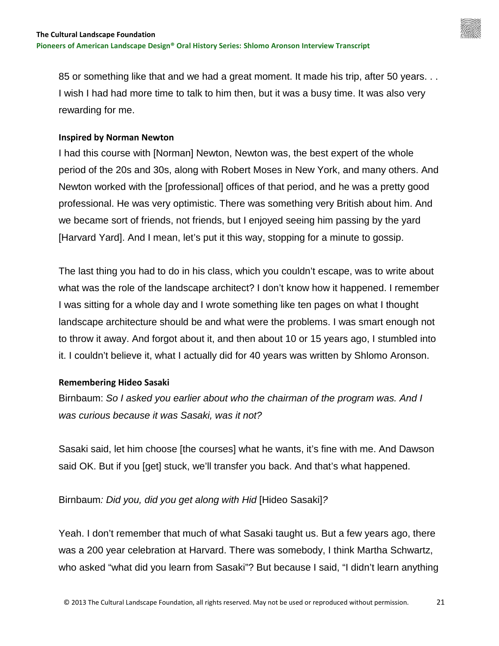85 or something like that and we had a great moment. It made his trip, after 50 years. . . I wish I had had more time to talk to him then, but it was a busy time. It was also very rewarding for me.

## <span id="page-20-0"></span>**Inspired by Norman Newton**

I had this course with [Norman] Newton, Newton was, the best expert of the whole period of the 20s and 30s, along with Robert Moses in New York, and many others. And Newton worked with the [professional] offices of that period, and he was a pretty good professional. He was very optimistic. There was something very British about him. And we became sort of friends, not friends, but I enjoyed seeing him passing by the yard [Harvard Yard]. And I mean, let's put it this way, stopping for a minute to gossip.

The last thing you had to do in his class, which you couldn't escape, was to write about what was the role of the landscape architect? I don't know how it happened. I remember I was sitting for a whole day and I wrote something like ten pages on what I thought landscape architecture should be and what were the problems. I was smart enough not to throw it away. And forgot about it, and then about 10 or 15 years ago, I stumbled into it. I couldn't believe it, what I actually did for 40 years was written by Shlomo Aronson.

# <span id="page-20-1"></span>**Remembering Hideo Sasaki**

Birnbaum: *So I asked you earlier about who the chairman of the program was. And I was curious because it was Sasaki, was it not?*

Sasaki said, let him choose [the courses] what he wants, it's fine with me. And Dawson said OK. But if you [get] stuck, we'll transfer you back. And that's what happened.

Birnbaum*: Did you, did you get along with Hid* [Hideo Sasaki]*?*

Yeah. I don't remember that much of what Sasaki taught us. But a few years ago, there was a 200 year celebration at Harvard. There was somebody, I think Martha Schwartz, who asked "what did you learn from Sasaki"? But because I said, "I didn't learn anything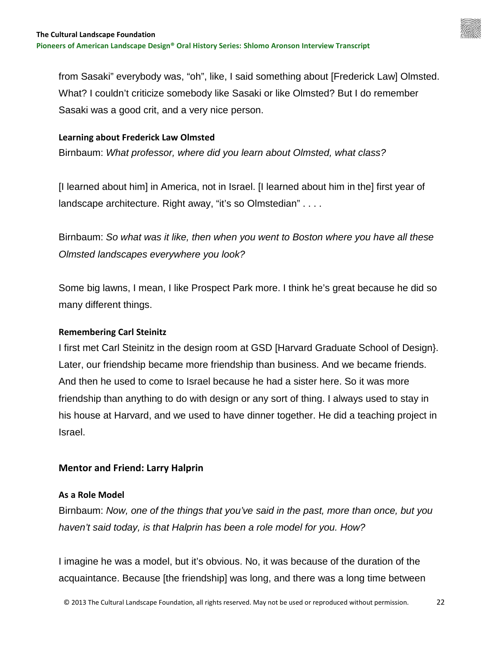from Sasaki" everybody was, "oh", like, I said something about [Frederick Law] Olmsted. What? I couldn't criticize somebody like Sasaki or like Olmsted? But I do remember Sasaki was a good crit, and a very nice person.

## <span id="page-21-0"></span>**Learning about Frederick Law Olmsted**

Birnbaum: *What professor, where did you learn about Olmsted, what class?*

[I learned about him] in America, not in Israel. [I learned about him in the] first year of landscape architecture. Right away, "it's so Olmstedian" . . . .

Birnbaum: *So what was it like, then when you went to Boston where you have all these Olmsted landscapes everywhere you look?*

Some big lawns, I mean, I like Prospect Park more. I think he's great because he did so many different things.

# <span id="page-21-1"></span>**Remembering Carl Steinitz**

I first met Carl Steinitz in the design room at GSD [Harvard Graduate School of Design}. Later, our friendship became more friendship than business. And we became friends. And then he used to come to Israel because he had a sister here. So it was more friendship than anything to do with design or any sort of thing. I always used to stay in his house at Harvard, and we used to have dinner together. He did a teaching project in Israel.

# <span id="page-21-2"></span>**Mentor and Friend: Larry Halprin**

#### <span id="page-21-3"></span>**As a Role Model**

Birnbaum: *Now, one of the things that you've said in the past, more than once, but you haven't said today, is that Halprin has been a role model for you. How?*

I imagine he was a model, but it's obvious. No, it was because of the duration of the acquaintance. Because [the friendship] was long, and there was a long time between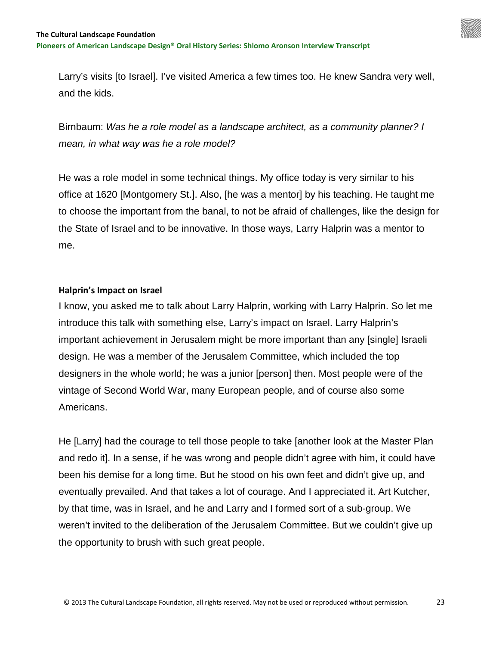

Larry's visits [to Israel]. I've visited America a few times too. He knew Sandra very well, and the kids.

Birnbaum: *Was he a role model as a landscape architect, as a community planner? I mean, in what way was he a role model?*

He was a role model in some technical things. My office today is very similar to his office at 1620 [Montgomery St.]. Also, [he was a mentor] by his teaching. He taught me to choose the important from the banal, to not be afraid of challenges, like the design for the State of Israel and to be innovative. In those ways, Larry Halprin was a mentor to me.

#### <span id="page-22-0"></span>**Halprin's Impact on Israel**

I know, you asked me to talk about Larry Halprin, working with Larry Halprin. So let me introduce this talk with something else, Larry's impact on Israel. Larry Halprin's important achievement in Jerusalem might be more important than any [single] Israeli design. He was a member of the Jerusalem Committee, which included the top designers in the whole world; he was a junior [person] then. Most people were of the vintage of Second World War, many European people, and of course also some Americans.

He [Larry] had the courage to tell those people to take [another look at the Master Plan and redo it]. In a sense, if he was wrong and people didn't agree with him, it could have been his demise for a long time. But he stood on his own feet and didn't give up, and eventually prevailed. And that takes a lot of courage. And I appreciated it. Art Kutcher, by that time, was in Israel, and he and Larry and I formed sort of a sub-group. We weren't invited to the deliberation of the Jerusalem Committee. But we couldn't give up the opportunity to brush with such great people.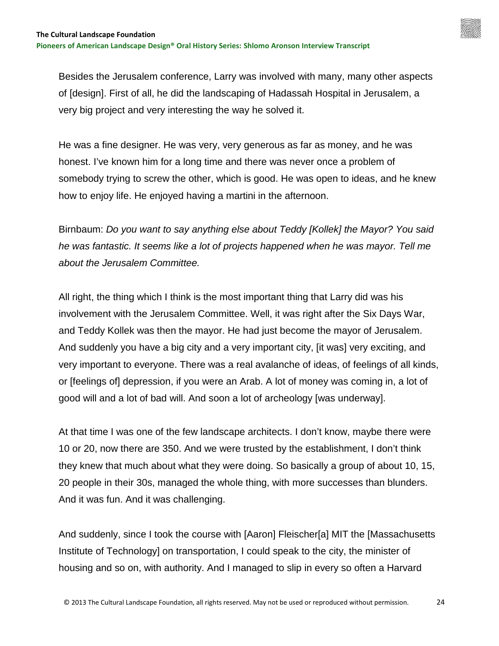Besides the Jerusalem conference, Larry was involved with many, many other aspects of [design]. First of all, he did the landscaping of Hadassah Hospital in Jerusalem, a very big project and very interesting the way he solved it.

He was a fine designer. He was very, very generous as far as money, and he was honest. I've known him for a long time and there was never once a problem of somebody trying to screw the other, which is good. He was open to ideas, and he knew how to enjoy life. He enjoyed having a martini in the afternoon.

Birnbaum: *Do you want to say anything else about Teddy [Kollek] the Mayor? You said he was fantastic. It seems like a lot of projects happened when he was mayor. Tell me about the Jerusalem Committee.*

All right, the thing which I think is the most important thing that Larry did was his involvement with the Jerusalem Committee. Well, it was right after the Six Days War, and Teddy Kollek was then the mayor. He had just become the mayor of Jerusalem. And suddenly you have a big city and a very important city, [it was] very exciting, and very important to everyone. There was a real avalanche of ideas, of feelings of all kinds, or [feelings of] depression, if you were an Arab. A lot of money was coming in, a lot of good will and a lot of bad will. And soon a lot of archeology [was underway].

At that time I was one of the few landscape architects. I don't know, maybe there were 10 or 20, now there are 350. And we were trusted by the establishment, I don't think they knew that much about what they were doing. So basically a group of about 10, 15, 20 people in their 30s, managed the whole thing, with more successes than blunders. And it was fun. And it was challenging.

And suddenly, since I took the course with [Aaron] Fleischer[a] MIT the [Massachusetts Institute of Technology] on transportation, I could speak to the city, the minister of housing and so on, with authority. And I managed to slip in every so often a Harvard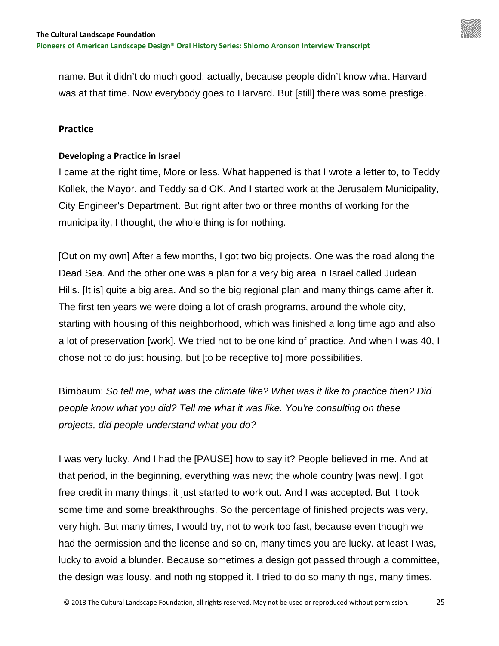name. But it didn't do much good; actually, because people didn't know what Harvard was at that time. Now everybody goes to Harvard. But [still] there was some prestige.

## <span id="page-24-0"></span>**Practice**

## <span id="page-24-1"></span>**Developing a Practice in Israel**

I came at the right time, More or less. What happened is that I wrote a letter to, to Teddy Kollek, the Mayor, and Teddy said OK. And I started work at the Jerusalem Municipality, City Engineer's Department. But right after two or three months of working for the municipality, I thought, the whole thing is for nothing.

[Out on my own] After a few months, I got two big projects. One was the road along the Dead Sea. And the other one was a plan for a very big area in Israel called Judean Hills. [It is] quite a big area. And so the big regional plan and many things came after it. The first ten years we were doing a lot of crash programs, around the whole city, starting with housing of this neighborhood, which was finished a long time ago and also a lot of preservation [work]. We tried not to be one kind of practice. And when I was 40, I chose not to do just housing, but [to be receptive to] more possibilities.

Birnbaum: *So tell me, what was the climate like? What was it like to practice then? Did people know what you did? Tell me what it was like. You're consulting on these projects, did people understand what you do?*

I was very lucky. And I had the [PAUSE] how to say it? People believed in me. And at that period, in the beginning, everything was new; the whole country [was new]. I got free credit in many things; it just started to work out. And I was accepted. But it took some time and some breakthroughs. So the percentage of finished projects was very, very high. But many times, I would try, not to work too fast, because even though we had the permission and the license and so on, many times you are lucky. at least I was, lucky to avoid a blunder. Because sometimes a design got passed through a committee, the design was lousy, and nothing stopped it. I tried to do so many things, many times,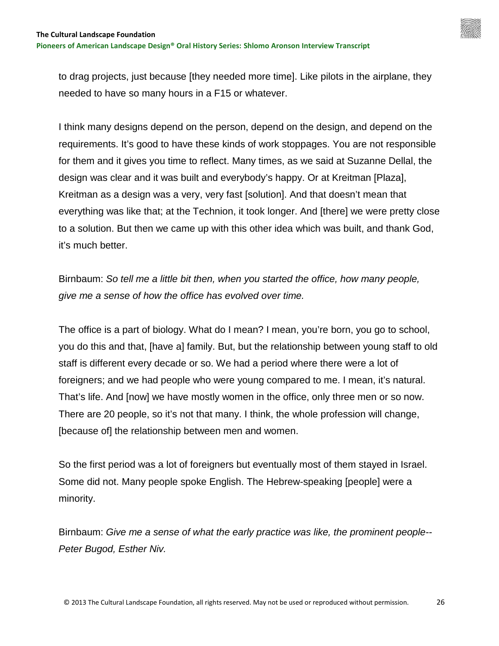**Pioneers of American Landscape Design® Oral History Series: Shlomo Aronson Interview Transcript**

to drag projects, just because [they needed more time]. Like pilots in the airplane, they needed to have so many hours in a F15 or whatever.

I think many designs depend on the person, depend on the design, and depend on the requirements. It's good to have these kinds of work stoppages. You are not responsible for them and it gives you time to reflect. Many times, as we said at Suzanne Dellal, the design was clear and it was built and everybody's happy. Or at Kreitman [Plaza], Kreitman as a design was a very, very fast [solution]. And that doesn't mean that everything was like that; at the Technion, it took longer. And [there] we were pretty close to a solution. But then we came up with this other idea which was built, and thank God, it's much better.

Birnbaum: *So tell me a little bit then, when you started the office, how many people, give me a sense of how the office has evolved over time.*

The office is a part of biology. What do I mean? I mean, you're born, you go to school, you do this and that, [have a] family. But, but the relationship between young staff to old staff is different every decade or so. We had a period where there were a lot of foreigners; and we had people who were young compared to me. I mean, it's natural. That's life. And [now] we have mostly women in the office, only three men or so now. There are 20 people, so it's not that many. I think, the whole profession will change, [because of] the relationship between men and women.

So the first period was a lot of foreigners but eventually most of them stayed in Israel. Some did not. Many people spoke English. The Hebrew-speaking [people] were a minority.

Birnbaum: *Give me a sense of what the early practice was like, the prominent people-- Peter Bugod, Esther Niv.*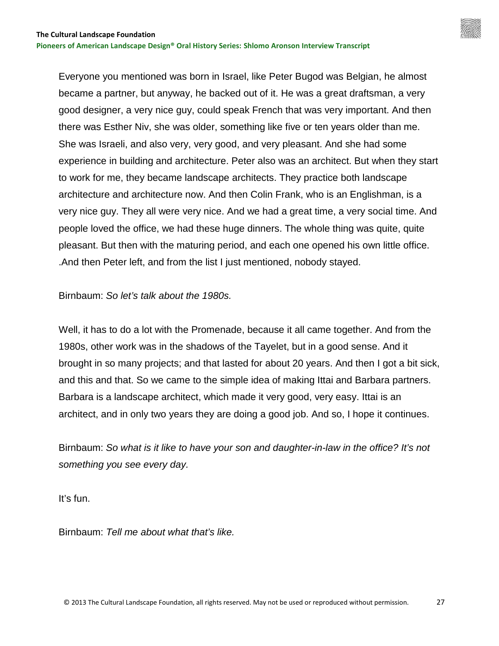Everyone you mentioned was born in Israel, like Peter Bugod was Belgian, he almost became a partner, but anyway, he backed out of it. He was a great draftsman, a very good designer, a very nice guy, could speak French that was very important. And then there was Esther Niv, she was older, something like five or ten years older than me. She was Israeli, and also very, very good, and very pleasant. And she had some experience in building and architecture. Peter also was an architect. But when they start to work for me, they became landscape architects. They practice both landscape architecture and architecture now. And then Colin Frank, who is an Englishman, is a very nice guy. They all were very nice. And we had a great time, a very social time. And people loved the office, we had these huge dinners. The whole thing was quite, quite pleasant. But then with the maturing period, and each one opened his own little office. .And then Peter left, and from the list I just mentioned, nobody stayed.

Birnbaum: *So let's talk about the 1980s.*

Well, it has to do a lot with the Promenade, because it all came together. And from the 1980s, other work was in the shadows of the Tayelet, but in a good sense. And it brought in so many projects; and that lasted for about 20 years. And then I got a bit sick, and this and that. So we came to the simple idea of making Ittai and Barbara partners. Barbara is a landscape architect, which made it very good, very easy. Ittai is an architect, and in only two years they are doing a good job. And so, I hope it continues.

Birnbaum: *So what is it like to have your son and daughter-in-law in the office? It's not something you see every day.*

It's fun.

Birnbaum: *Tell me about what that's like.*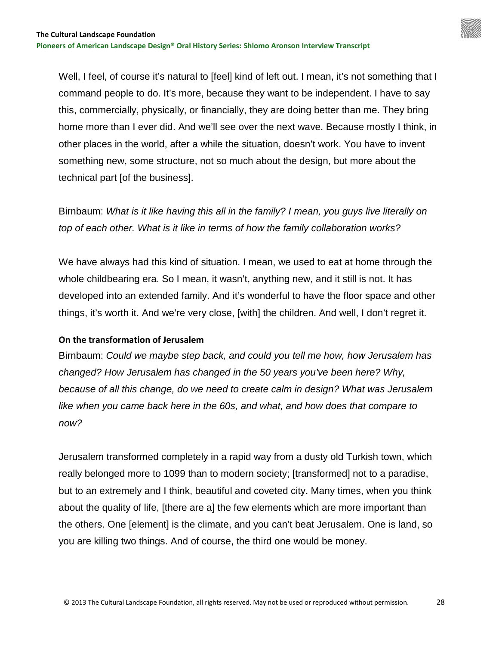Well, I feel, of course it's natural to [feel] kind of left out. I mean, it's not something that I command people to do. It's more, because they want to be independent. I have to say this, commercially, physically, or financially, they are doing better than me. They bring home more than I ever did. And we'll see over the next wave. Because mostly I think, in other places in the world, after a while the situation, doesn't work. You have to invent something new, some structure, not so much about the design, but more about the technical part [of the business].

Birnbaum: *What is it like having this all in the family? I mean, you guys live literally on top of each other. What is it like in terms of how the family collaboration works?*

We have always had this kind of situation. I mean, we used to eat at home through the whole childbearing era. So I mean, it wasn't, anything new, and it still is not. It has developed into an extended family. And it's wonderful to have the floor space and other things, it's worth it. And we're very close, [with] the children. And well, I don't regret it.

# <span id="page-27-0"></span>**On the transformation of Jerusalem**

Birnbaum: *Could we maybe step back, and could you tell me how, how Jerusalem has changed? How Jerusalem has changed in the 50 years you've been here? Why, because of all this change, do we need to create calm in design? What was Jerusalem like when you came back here in the 60s, and what, and how does that compare to now?* 

Jerusalem transformed completely in a rapid way from a dusty old Turkish town, which really belonged more to 1099 than to modern society; [transformed] not to a paradise, but to an extremely and I think, beautiful and coveted city. Many times, when you think about the quality of life, [there are a] the few elements which are more important than the others. One [element] is the climate, and you can't beat Jerusalem. One is land, so you are killing two things. And of course, the third one would be money.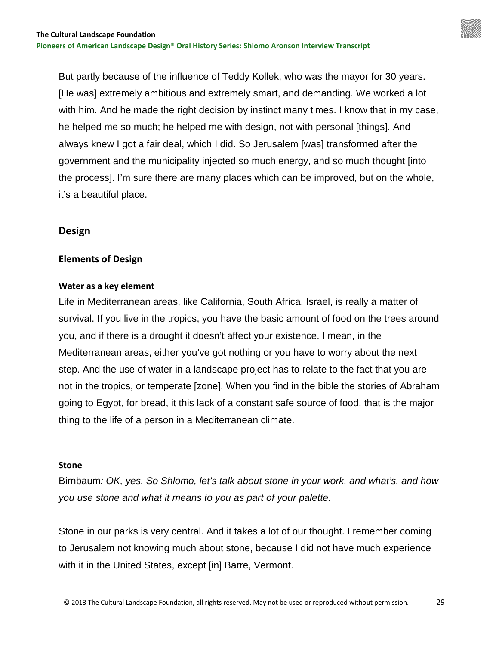But partly because of the influence of Teddy Kollek, who was the mayor for 30 years. [He was] extremely ambitious and extremely smart, and demanding. We worked a lot with him. And he made the right decision by instinct many times. I know that in my case, he helped me so much; he helped me with design, not with personal [things]. And always knew I got a fair deal, which I did. So Jerusalem [was] transformed after the government and the municipality injected so much energy, and so much thought [into the process]. I'm sure there are many places which can be improved, but on the whole, it's a beautiful place.

# <span id="page-28-0"></span>**Design**

# <span id="page-28-1"></span>**Elements of Design**

## <span id="page-28-2"></span>**Water as a key element**

Life in Mediterranean areas, like California, South Africa, Israel, is really a matter of survival. If you live in the tropics, you have the basic amount of food on the trees around you, and if there is a drought it doesn't affect your existence. I mean, in the Mediterranean areas, either you've got nothing or you have to worry about the next step. And the use of water in a landscape project has to relate to the fact that you are not in the tropics, or temperate [zone]. When you find in the bible the stories of Abraham going to Egypt, for bread, it this lack of a constant safe source of food, that is the major thing to the life of a person in a Mediterranean climate.

#### <span id="page-28-3"></span>**Stone**

Birnbaum*: OK, yes. So Shlomo, let's talk about stone in your work, and what's, and how you use stone and what it means to you as part of your palette.*

Stone in our parks is very central. And it takes a lot of our thought. I remember coming to Jerusalem not knowing much about stone, because I did not have much experience with it in the United States, except [in] Barre, Vermont.

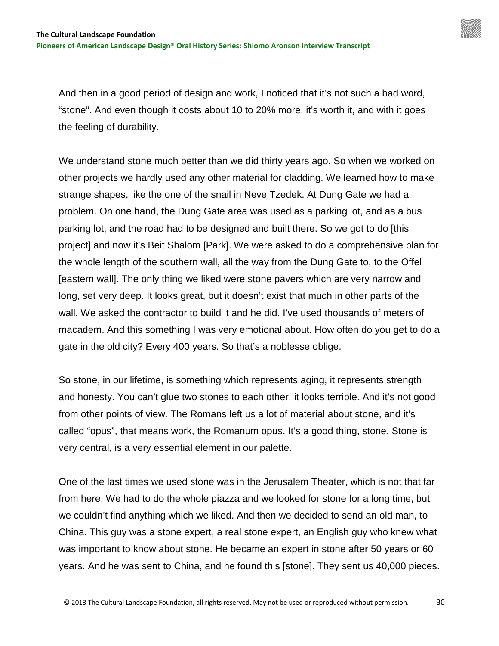And then in a good period of design and work, I noticed that it's not such a bad word, "stone". And even though it costs about 10 to 20% more, it's worth it, and with it goes the feeling of durability.

We understand stone much better than we did thirty years ago. So when we worked on other projects we hardly used any other material for cladding. We learned how to make strange shapes, like the one of the snail in Neve Tzedek. At Dung Gate we had a problem. On one hand, the Dung Gate area was used as a parking lot, and as a bus parking lot, and the road had to be designed and built there. So we got to do [this project] and now it's Beit Shalom [Park]. We were asked to do a comprehensive plan for the whole length of the southern wall, all the way from the Dung Gate to, to the Offel [eastern wall]. The only thing we liked were stone pavers which are very narrow and long, set very deep. It looks great, but it doesn't exist that much in other parts of the wall. We asked the contractor to build it and he did. I've used thousands of meters of macadem. And this something I was very emotional about. How often do you get to do a gate in the old city? Every 400 years. So that's a noblesse oblige.

So stone, in our lifetime, is something which represents aging, it represents strength and honesty. You can't glue two stones to each other, it looks terrible. And it's not good from other points of view. The Romans left us a lot of material about stone, and it's called "opus", that means work, the Romanum opus. It's a good thing, stone. Stone is very central, is a very essential element in our palette.

One of the last times we used stone was in the Jerusalem Theater, which is not that far from here. We had to do the whole piazza and we looked for stone for a long time, but we couldn't find anything which we liked. And then we decided to send an old man, to China. This guy was a stone expert, a real stone expert, an English guy who knew what was important to know about stone. He became an expert in stone after 50 years or 60 years. And he was sent to China, and he found this [stone]. They sent us 40,000 pieces.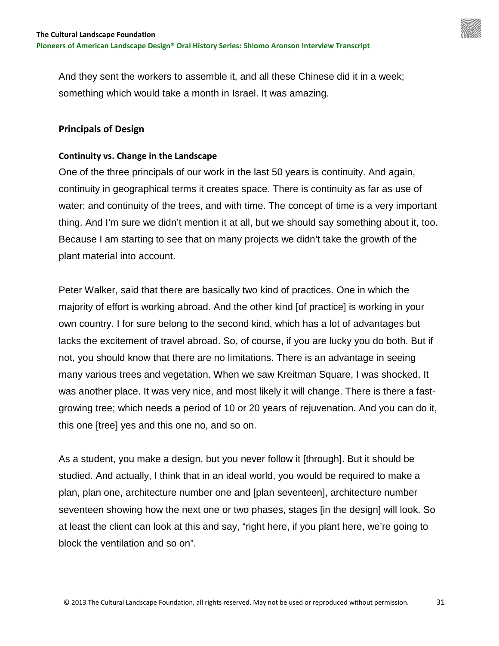And they sent the workers to assemble it, and all these Chinese did it in a week; something which would take a month in Israel. It was amazing.

# <span id="page-30-0"></span>**Principals of Design**

# <span id="page-30-1"></span>**Continuity vs. Change in the Landscape**

One of the three principals of our work in the last 50 years is continuity. And again, continuity in geographical terms it creates space. There is continuity as far as use of water; and continuity of the trees, and with time. The concept of time is a very important thing. And I'm sure we didn't mention it at all, but we should say something about it, too. Because I am starting to see that on many projects we didn't take the growth of the plant material into account.

Peter Walker, said that there are basically two kind of practices. One in which the majority of effort is working abroad. And the other kind [of practice] is working in your own country. I for sure belong to the second kind, which has a lot of advantages but lacks the excitement of travel abroad. So, of course, if you are lucky you do both. But if not, you should know that there are no limitations. There is an advantage in seeing many various trees and vegetation. When we saw Kreitman Square, I was shocked. It was another place. It was very nice, and most likely it will change. There is there a fastgrowing tree; which needs a period of 10 or 20 years of rejuvenation. And you can do it, this one [tree] yes and this one no, and so on.

As a student, you make a design, but you never follow it [through]. But it should be studied. And actually, I think that in an ideal world, you would be required to make a plan, plan one, architecture number one and [plan seventeen], architecture number seventeen showing how the next one or two phases, stages [in the design] will look. So at least the client can look at this and say, "right here, if you plant here, we're going to block the ventilation and so on".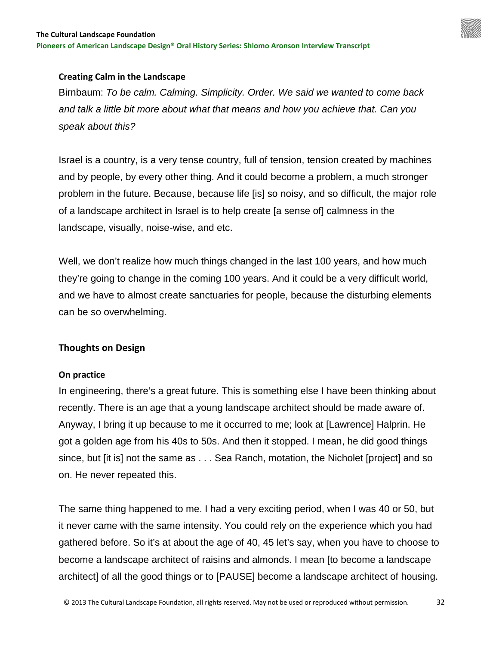

#### <span id="page-31-0"></span>**Creating Calm in the Landscape**

Birnbaum: *To be calm. Calming. Simplicity. Order. We said we wanted to come back and talk a little bit more about what that means and how you achieve that. Can you speak about this?*

Israel is a country, is a very tense country, full of tension, tension created by machines and by people, by every other thing. And it could become a problem, a much stronger problem in the future. Because, because life [is] so noisy, and so difficult, the major role of a landscape architect in Israel is to help create [a sense of] calmness in the landscape, visually, noise-wise, and etc.

Well, we don't realize how much things changed in the last 100 years, and how much they're going to change in the coming 100 years. And it could be a very difficult world, and we have to almost create sanctuaries for people, because the disturbing elements can be so overwhelming.

# <span id="page-31-1"></span>**Thoughts on Design**

#### <span id="page-31-2"></span>**On practice**

In engineering, there's a great future. This is something else I have been thinking about recently. There is an age that a young landscape architect should be made aware of. Anyway, I bring it up because to me it occurred to me; look at [Lawrence] Halprin. He got a golden age from his 40s to 50s. And then it stopped. I mean, he did good things since, but [it is] not the same as . . . Sea Ranch, motation, the Nicholet [project] and so on. He never repeated this.

The same thing happened to me. I had a very exciting period, when I was 40 or 50, but it never came with the same intensity. You could rely on the experience which you had gathered before. So it's at about the age of 40, 45 let's say, when you have to choose to become a landscape architect of raisins and almonds. I mean [to become a landscape architect] of all the good things or to [PAUSE] become a landscape architect of housing.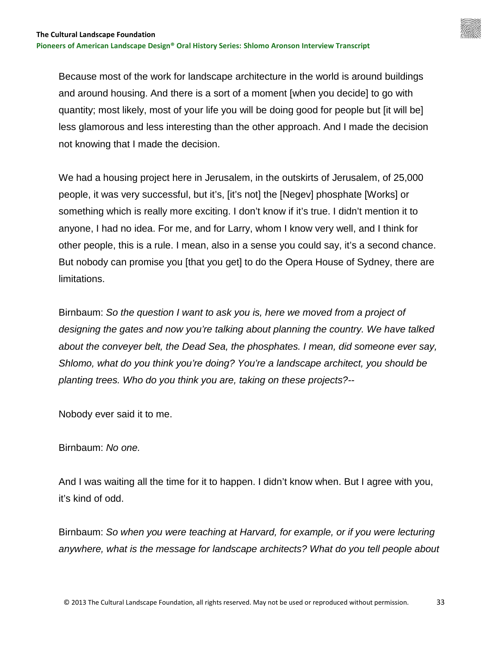Because most of the work for landscape architecture in the world is around buildings and around housing. And there is a sort of a moment [when you decide] to go with quantity; most likely, most of your life you will be doing good for people but [it will be] less glamorous and less interesting than the other approach. And I made the decision not knowing that I made the decision.

We had a housing project here in Jerusalem, in the outskirts of Jerusalem, of 25,000 people, it was very successful, but it's, [it's not] the [Negev] phosphate [Works] or something which is really more exciting. I don't know if it's true. I didn't mention it to anyone, I had no idea. For me, and for Larry, whom I know very well, and I think for other people, this is a rule. I mean, also in a sense you could say, it's a second chance. But nobody can promise you [that you get] to do the Opera House of Sydney, there are limitations.

Birnbaum: *So the question I want to ask you is, here we moved from a project of designing the gates and now you're talking about planning the country. We have talked about the conveyer belt, the Dead Sea, the phosphates. I mean, did someone ever say, Shlomo, what do you think you're doing? You're a landscape architect, you should be planting trees. Who do you think you are, taking on these projects?--*

Nobody ever said it to me.

Birnbaum: *No one.*

And I was waiting all the time for it to happen. I didn't know when. But I agree with you, it's kind of odd.

Birnbaum: *So when you were teaching at Harvard, for example, or if you were lecturing anywhere, what is the message for landscape architects? What do you tell people about*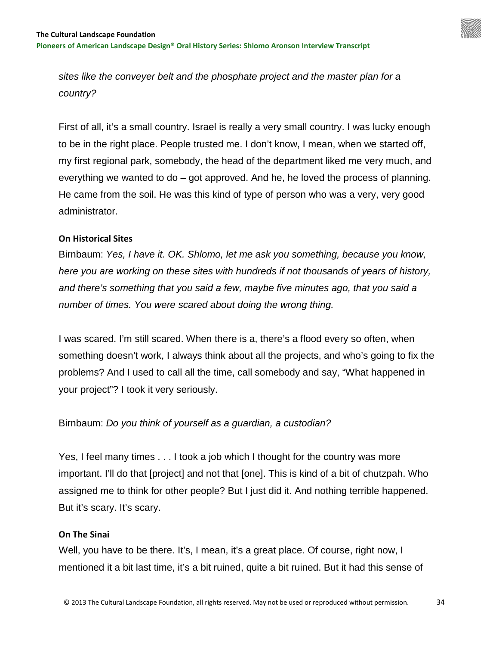

*sites like the conveyer belt and the phosphate project and the master plan for a country?* 

First of all, it's a small country. Israel is really a very small country. I was lucky enough to be in the right place. People trusted me. I don't know, I mean, when we started off, my first regional park, somebody, the head of the department liked me very much, and everything we wanted to do – got approved. And he, he loved the process of planning. He came from the soil. He was this kind of type of person who was a very, very good administrator.

#### <span id="page-33-0"></span>**On Historical Sites**

Birnbaum: *Yes, I have it. OK. Shlomo, let me ask you something, because you know, here you are working on these sites with hundreds if not thousands of years of history, and there's something that you said a few, maybe five minutes ago, that you said a number of times. You were scared about doing the wrong thing.* 

I was scared. I'm still scared. When there is a, there's a flood every so often, when something doesn't work, I always think about all the projects, and who's going to fix the problems? And I used to call all the time, call somebody and say, "What happened in your project"? I took it very seriously.

# Birnbaum: *Do you think of yourself as a guardian, a custodian?*

Yes, I feel many times . . . I took a job which I thought for the country was more important. I'll do that [project] and not that [one]. This is kind of a bit of chutzpah. Who assigned me to think for other people? But I just did it. And nothing terrible happened. But it's scary. It's scary.

# <span id="page-33-1"></span>**On The Sinai**

Well, you have to be there. It's, I mean, it's a great place. Of course, right now, I mentioned it a bit last time, it's a bit ruined, quite a bit ruined. But it had this sense of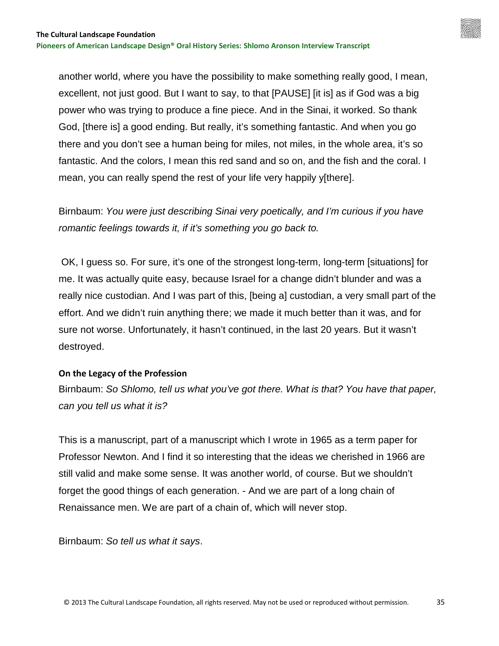another world, where you have the possibility to make something really good, I mean, excellent, not just good. But I want to say, to that [PAUSE] [it is] as if God was a big power who was trying to produce a fine piece. And in the Sinai, it worked. So thank God, [there is] a good ending. But really, it's something fantastic. And when you go there and you don't see a human being for miles, not miles, in the whole area, it's so fantastic. And the colors, I mean this red sand and so on, and the fish and the coral. I mean, you can really spend the rest of your life very happily y[there].

Birnbaum: *You were just describing Sinai very poetically, and I'm curious if you have romantic feelings towards it, if it's something you go back to.*

OK, I guess so. For sure, it's one of the strongest long-term, long-term [situations] for me. It was actually quite easy, because Israel for a change didn't blunder and was a really nice custodian. And I was part of this, [being a] custodian, a very small part of the effort. And we didn't ruin anything there; we made it much better than it was, and for sure not worse. Unfortunately, it hasn't continued, in the last 20 years. But it wasn't destroyed.

#### <span id="page-34-0"></span>**On the Legacy of the Profession**

Birnbaum: *So Shlomo, tell us what you've got there. What is that? You have that paper, can you tell us what it is?* 

This is a manuscript, part of a manuscript which I wrote in 1965 as a term paper for Professor Newton. And I find it so interesting that the ideas we cherished in 1966 are still valid and make some sense. It was another world, of course. But we shouldn't forget the good things of each generation. - And we are part of a long chain of Renaissance men. We are part of a chain of, which will never stop.

Birnbaum: *So tell us what it says*.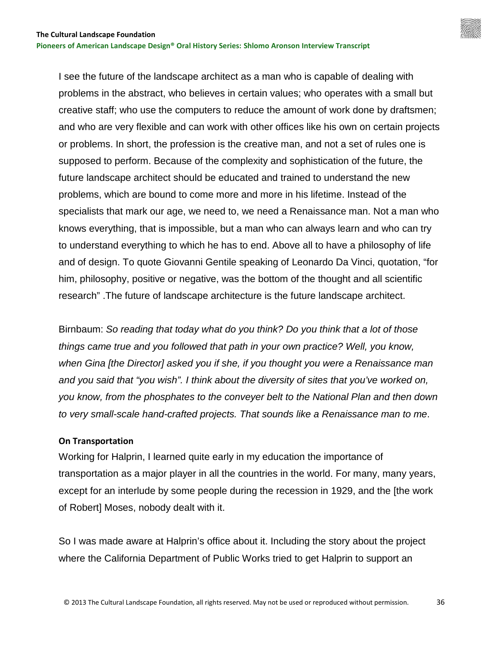**Pioneers of American Landscape Design® Oral History Series: Shlomo Aronson Interview Transcript**

I see the future of the landscape architect as a man who is capable of dealing with problems in the abstract, who believes in certain values; who operates with a small but creative staff; who use the computers to reduce the amount of work done by draftsmen; and who are very flexible and can work with other offices like his own on certain projects or problems. In short, the profession is the creative man, and not a set of rules one is supposed to perform. Because of the complexity and sophistication of the future, the future landscape architect should be educated and trained to understand the new problems, which are bound to come more and more in his lifetime. Instead of the specialists that mark our age, we need to, we need a Renaissance man. Not a man who knows everything, that is impossible, but a man who can always learn and who can try to understand everything to which he has to end. Above all to have a philosophy of life and of design. To quote Giovanni Gentile speaking of Leonardo Da Vinci, quotation, "for him, philosophy, positive or negative, was the bottom of the thought and all scientific research" .The future of landscape architecture is the future landscape architect.

Birnbaum: *So reading that today what do you think? Do you think that a lot of those things came true and you followed that path in your own practice? Well, you know, when Gina [the Director] asked you if she, if you thought you were a Renaissance man and you said that "you wish". I think about the diversity of sites that you've worked on, you know, from the phosphates to the conveyer belt to the National Plan and then down to very small-scale hand-crafted projects. That sounds like a Renaissance man to me*.

#### <span id="page-35-0"></span>**On Transportation**

Working for Halprin, I learned quite early in my education the importance of transportation as a major player in all the countries in the world. For many, many years, except for an interlude by some people during the recession in 1929, and the [the work of Robert] Moses, nobody dealt with it.

So I was made aware at Halprin's office about it. Including the story about the project where the California Department of Public Works tried to get Halprin to support an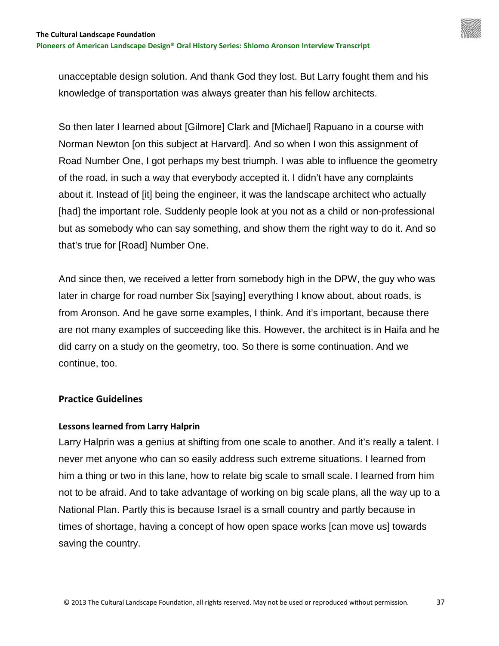unacceptable design solution. And thank God they lost. But Larry fought them and his knowledge of transportation was always greater than his fellow architects.

So then later I learned about [Gilmore] Clark and [Michael] Rapuano in a course with Norman Newton [on this subject at Harvard]. And so when I won this assignment of Road Number One, I got perhaps my best triumph. I was able to influence the geometry of the road, in such a way that everybody accepted it. I didn't have any complaints about it. Instead of [it] being the engineer, it was the landscape architect who actually [had] the important role. Suddenly people look at you not as a child or non-professional but as somebody who can say something, and show them the right way to do it. And so that's true for [Road] Number One.

And since then, we received a letter from somebody high in the DPW, the guy who was later in charge for road number Six [saying] everything I know about, about roads, is from Aronson. And he gave some examples, I think. And it's important, because there are not many examples of succeeding like this. However, the architect is in Haifa and he did carry on a study on the geometry, too. So there is some continuation. And we continue, too.

## **Practice Guidelines**

## **Lessons learned from Larry Halprin**

Larry Halprin was a genius at shifting from one scale to another. And it's really a talent. I never met anyone who can so easily address such extreme situations. I learned from him a thing or two in this lane, how to relate big scale to small scale. I learned from him not to be afraid. And to take advantage of working on big scale plans, all the way up to a National Plan. Partly this is because Israel is a small country and partly because in times of shortage, having a concept of how open space works [can move us] towards saving the country.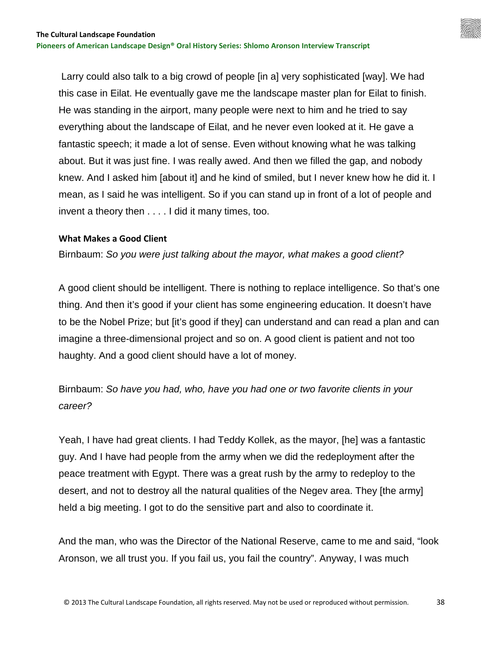Larry could also talk to a big crowd of people [in a] very sophisticated [way]. We had this case in Eilat. He eventually gave me the landscape master plan for Eilat to finish. He was standing in the airport, many people were next to him and he tried to say everything about the landscape of Eilat, and he never even looked at it. He gave a fantastic speech; it made a lot of sense. Even without knowing what he was talking about. But it was just fine. I was really awed. And then we filled the gap, and nobody knew. And I asked him [about it] and he kind of smiled, but I never knew how he did it. I mean, as I said he was intelligent. So if you can stand up in front of a lot of people and invent a theory then . . . . I did it many times, too.

#### **What Makes a Good Client**

Birnbaum: *So you were just talking about the mayor, what makes a good client?* 

A good client should be intelligent. There is nothing to replace intelligence. So that's one thing. And then it's good if your client has some engineering education. It doesn't have to be the Nobel Prize; but [it's good if they] can understand and can read a plan and can imagine a three-dimensional project and so on. A good client is patient and not too haughty. And a good client should have a lot of money.

Birnbaum: *So have you had, who, have you had one or two favorite clients in your career?*

Yeah, I have had great clients. I had Teddy Kollek, as the mayor, [he] was a fantastic guy. And I have had people from the army when we did the redeployment after the peace treatment with Egypt. There was a great rush by the army to redeploy to the desert, and not to destroy all the natural qualities of the Negev area. They [the army] held a big meeting. I got to do the sensitive part and also to coordinate it.

And the man, who was the Director of the National Reserve, came to me and said, "look Aronson, we all trust you. If you fail us, you fail the country". Anyway, I was much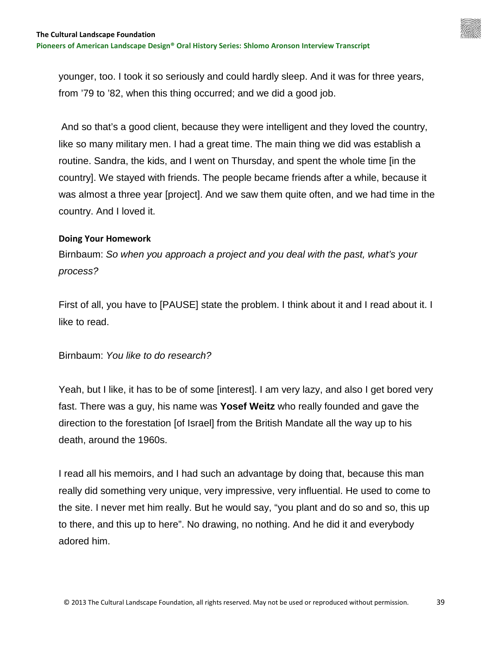younger, too. I took it so seriously and could hardly sleep. And it was for three years, from '79 to '82, when this thing occurred; and we did a good job.

And so that's a good client, because they were intelligent and they loved the country, like so many military men. I had a great time. The main thing we did was establish a routine. Sandra, the kids, and I went on Thursday, and spent the whole time [in the country]. We stayed with friends. The people became friends after a while, because it was almost a three year [project]. And we saw them quite often, and we had time in the country. And I loved it.

#### **Doing Your Homework**

Birnbaum: *So when you approach a project and you deal with the past, what's your process?*

First of all, you have to [PAUSE] state the problem. I think about it and I read about it. I like to read.

## Birnbaum: *You like to do research?*

Yeah, but I like, it has to be of some [interest]. I am very lazy, and also I get bored very fast. There was a guy, his name was **Yosef Weitz** who really founded and gave the direction to the forestation [of Israel] from the British Mandate all the way up to his death, around the 1960s.

I read all his memoirs, and I had such an advantage by doing that, because this man really did something very unique, very impressive, very influential. He used to come to the site. I never met him really. But he would say, "you plant and do so and so, this up to there, and this up to here". No drawing, no nothing. And he did it and everybody adored him.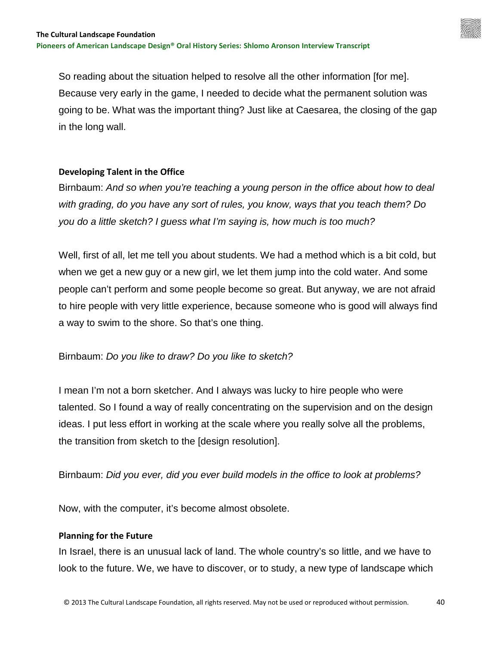So reading about the situation helped to resolve all the other information [for me]. Because very early in the game, I needed to decide what the permanent solution was going to be. What was the important thing? Just like at Caesarea, the closing of the gap in the long wall.

# **Developing Talent in the Office**

Birnbaum: *And so when you're teaching a young person in the office about how to deal with grading, do you have any sort of rules, you know, ways that you teach them? Do you do a little sketch? I guess what I'm saying is, how much is too much?*

Well, first of all, let me tell you about students. We had a method which is a bit cold, but when we get a new guy or a new girl, we let them jump into the cold water. And some people can't perform and some people become so great. But anyway, we are not afraid to hire people with very little experience, because someone who is good will always find a way to swim to the shore. So that's one thing.

# Birnbaum: *Do you like to draw? Do you like to sketch?*

I mean I'm not a born sketcher. And I always was lucky to hire people who were talented. So I found a way of really concentrating on the supervision and on the design ideas. I put less effort in working at the scale where you really solve all the problems, the transition from sketch to the [design resolution].

Birnbaum: *Did you ever, did you ever build models in the office to look at problems?* 

Now, with the computer, it's become almost obsolete.

## **Planning for the Future**

In Israel, there is an unusual lack of land. The whole country's so little, and we have to look to the future. We, we have to discover, or to study, a new type of landscape which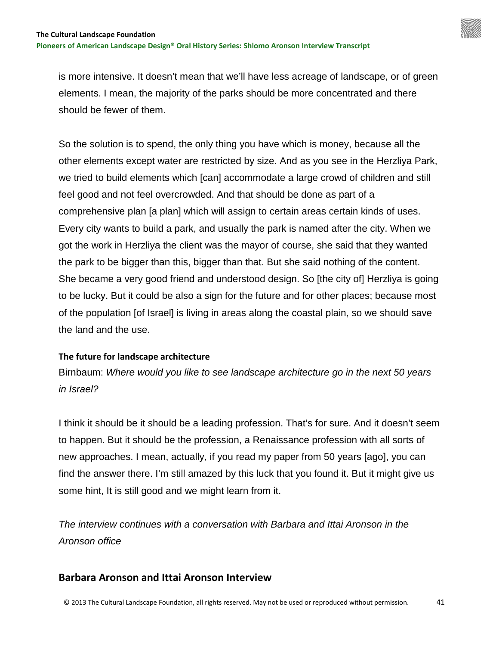is more intensive. It doesn't mean that we'll have less acreage of landscape, or of green elements. I mean, the majority of the parks should be more concentrated and there should be fewer of them.

So the solution is to spend, the only thing you have which is money, because all the other elements except water are restricted by size. And as you see in the Herzliya Park, we tried to build elements which [can] accommodate a large crowd of children and still feel good and not feel overcrowded. And that should be done as part of a comprehensive plan [a plan] which will assign to certain areas certain kinds of uses. Every city wants to build a park, and usually the park is named after the city. When we got the work in Herzliya the client was the mayor of course, she said that they wanted the park to be bigger than this, bigger than that. But she said nothing of the content. She became a very good friend and understood design. So [the city of] Herzliya is going to be lucky. But it could be also a sign for the future and for other places; because most of the population [of Israel] is living in areas along the coastal plain, so we should save the land and the use.

# **The future for landscape architecture**

Birnbaum: *Where would you like to see landscape architecture go in the next 50 years in Israel?*

I think it should be it should be a leading profession. That's for sure. And it doesn't seem to happen. But it should be the profession, a Renaissance profession with all sorts of new approaches. I mean, actually, if you read my paper from 50 years [ago], you can find the answer there. I'm still amazed by this luck that you found it. But it might give us some hint, It is still good and we might learn from it.

*The interview continues with a conversation with Barbara and Ittai Aronson in the Aronson office*

# **Barbara Aronson and Ittai Aronson Interview**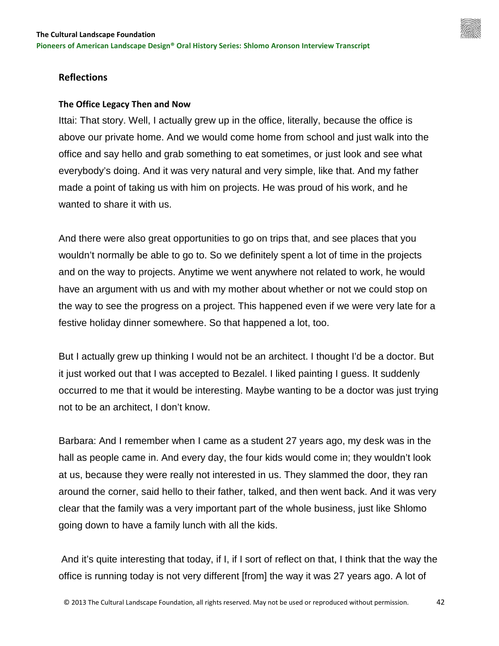

# **Reflections**

#### **The Office Legacy Then and Now**

Ittai: That story. Well, I actually grew up in the office, literally, because the office is above our private home. And we would come home from school and just walk into the office and say hello and grab something to eat sometimes, or just look and see what everybody's doing. And it was very natural and very simple, like that. And my father made a point of taking us with him on projects. He was proud of his work, and he wanted to share it with us.

And there were also great opportunities to go on trips that, and see places that you wouldn't normally be able to go to. So we definitely spent a lot of time in the projects and on the way to projects. Anytime we went anywhere not related to work, he would have an argument with us and with my mother about whether or not we could stop on the way to see the progress on a project. This happened even if we were very late for a festive holiday dinner somewhere. So that happened a lot, too.

But I actually grew up thinking I would not be an architect. I thought I'd be a doctor. But it just worked out that I was accepted to Bezalel. I liked painting I guess. It suddenly occurred to me that it would be interesting. Maybe wanting to be a doctor was just trying not to be an architect, I don't know.

Barbara: And I remember when I came as a student 27 years ago, my desk was in the hall as people came in. And every day, the four kids would come in; they wouldn't look at us, because they were really not interested in us. They slammed the door, they ran around the corner, said hello to their father, talked, and then went back. And it was very clear that the family was a very important part of the whole business, just like Shlomo going down to have a family lunch with all the kids.

And it's quite interesting that today, if I, if I sort of reflect on that, I think that the way the office is running today is not very different [from] the way it was 27 years ago. A lot of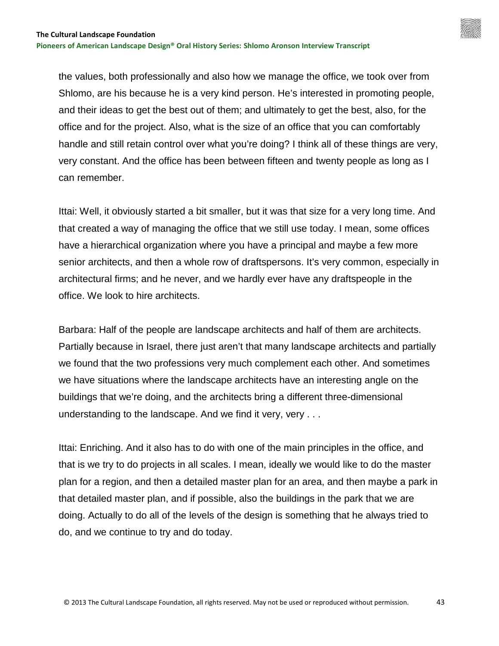the values, both professionally and also how we manage the office, we took over from Shlomo, are his because he is a very kind person. He's interested in promoting people, and their ideas to get the best out of them; and ultimately to get the best, also, for the office and for the project. Also, what is the size of an office that you can comfortably handle and still retain control over what you're doing? I think all of these things are very, very constant. And the office has been between fifteen and twenty people as long as I can remember.

Ittai: Well, it obviously started a bit smaller, but it was that size for a very long time. And that created a way of managing the office that we still use today. I mean, some offices have a hierarchical organization where you have a principal and maybe a few more senior architects, and then a whole row of draftspersons. It's very common, especially in architectural firms; and he never, and we hardly ever have any draftspeople in the office. We look to hire architects.

Barbara: Half of the people are landscape architects and half of them are architects. Partially because in Israel, there just aren't that many landscape architects and partially we found that the two professions very much complement each other. And sometimes we have situations where the landscape architects have an interesting angle on the buildings that we're doing, and the architects bring a different three-dimensional understanding to the landscape. And we find it very, very . . .

Ittai: Enriching. And it also has to do with one of the main principles in the office, and that is we try to do projects in all scales. I mean, ideally we would like to do the master plan for a region, and then a detailed master plan for an area, and then maybe a park in that detailed master plan, and if possible, also the buildings in the park that we are doing. Actually to do all of the levels of the design is something that he always tried to do, and we continue to try and do today.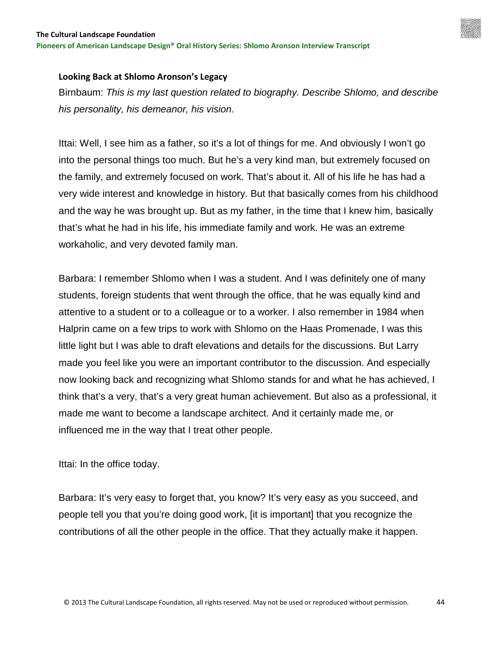

## **Looking Back at Shlomo Aronson's Legacy**

Birnbaum: *This is my last question related to biography. Describe Shlomo, and describe his personality, his demeanor, his vision.*

Ittai: Well, I see him as a father, so it's a lot of things for me. And obviously I won't go into the personal things too much. But he's a very kind man, but extremely focused on the family, and extremely focused on work. That's about it. All of his life he has had a very wide interest and knowledge in history. But that basically comes from his childhood and the way he was brought up. But as my father, in the time that I knew him, basically that's what he had in his life, his immediate family and work. He was an extreme workaholic, and very devoted family man.

Barbara: I remember Shlomo when I was a student. And I was definitely one of many students, foreign students that went through the office, that he was equally kind and attentive to a student or to a colleague or to a worker. I also remember in 1984 when Halprin came on a few trips to work with Shlomo on the Haas Promenade, I was this little light but I was able to draft elevations and details for the discussions. But Larry made you feel like you were an important contributor to the discussion. And especially now looking back and recognizing what Shlomo stands for and what he has achieved, I think that's a very, that's a very great human achievement. But also as a professional, it made me want to become a landscape architect. And it certainly made me, or influenced me in the way that I treat other people.

Ittai: In the office today.

Barbara: It's very easy to forget that, you know? It's very easy as you succeed, and people tell you that you're doing good work, [it is important] that you recognize the contributions of all the other people in the office. That they actually make it happen.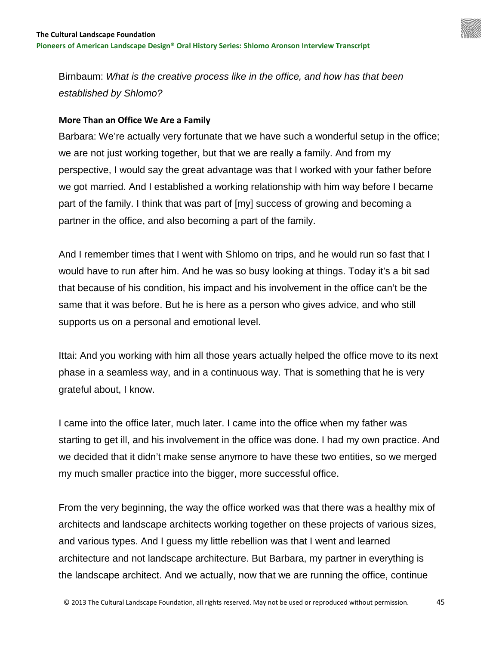Birnbaum: *What is the creative process like in the office, and how has that been established by Shlomo?*

## **More Than an Office We Are a Family**

Barbara: We're actually very fortunate that we have such a wonderful setup in the office; we are not just working together, but that we are really a family. And from my perspective, I would say the great advantage was that I worked with your father before we got married. And I established a working relationship with him way before I became part of the family. I think that was part of [my] success of growing and becoming a partner in the office, and also becoming a part of the family.

And I remember times that I went with Shlomo on trips, and he would run so fast that I would have to run after him. And he was so busy looking at things. Today it's a bit sad that because of his condition, his impact and his involvement in the office can't be the same that it was before. But he is here as a person who gives advice, and who still supports us on a personal and emotional level.

Ittai: And you working with him all those years actually helped the office move to its next phase in a seamless way, and in a continuous way. That is something that he is very grateful about, I know.

I came into the office later, much later. I came into the office when my father was starting to get ill, and his involvement in the office was done. I had my own practice. And we decided that it didn't make sense anymore to have these two entities, so we merged my much smaller practice into the bigger, more successful office.

From the very beginning, the way the office worked was that there was a healthy mix of architects and landscape architects working together on these projects of various sizes, and various types. And I guess my little rebellion was that I went and learned architecture and not landscape architecture. But Barbara, my partner in everything is the landscape architect. And we actually, now that we are running the office, continue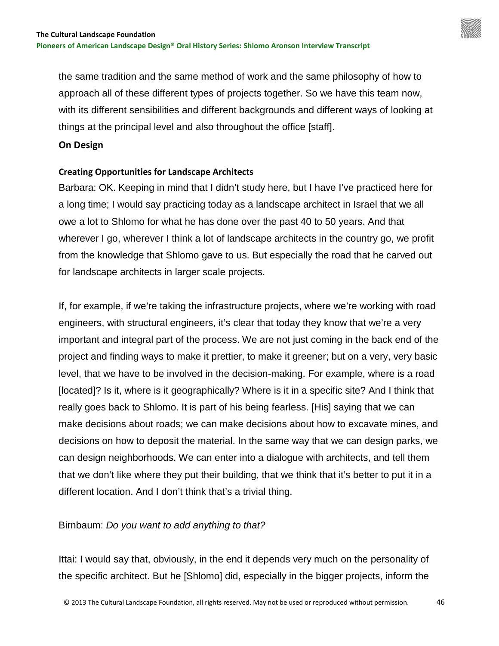the same tradition and the same method of work and the same philosophy of how to approach all of these different types of projects together. So we have this team now, with its different sensibilities and different backgrounds and different ways of looking at things at the principal level and also throughout the office [staff].

## **On Design**

# **Creating Opportunities for Landscape Architects**

Barbara: OK. Keeping in mind that I didn't study here, but I have I've practiced here for a long time; I would say practicing today as a landscape architect in Israel that we all owe a lot to Shlomo for what he has done over the past 40 to 50 years. And that wherever I go, wherever I think a lot of landscape architects in the country go, we profit from the knowledge that Shlomo gave to us. But especially the road that he carved out for landscape architects in larger scale projects.

If, for example, if we're taking the infrastructure projects, where we're working with road engineers, with structural engineers, it's clear that today they know that we're a very important and integral part of the process. We are not just coming in the back end of the project and finding ways to make it prettier, to make it greener; but on a very, very basic level, that we have to be involved in the decision-making. For example, where is a road [located]? Is it, where is it geographically? Where is it in a specific site? And I think that really goes back to Shlomo. It is part of his being fearless. [His] saying that we can make decisions about roads; we can make decisions about how to excavate mines, and decisions on how to deposit the material. In the same way that we can design parks, we can design neighborhoods. We can enter into a dialogue with architects, and tell them that we don't like where they put their building, that we think that it's better to put it in a different location. And I don't think that's a trivial thing.

# Birnbaum: *Do you want to add anything to that?*

Ittai: I would say that, obviously, in the end it depends very much on the personality of the specific architect. But he [Shlomo] did, especially in the bigger projects, inform the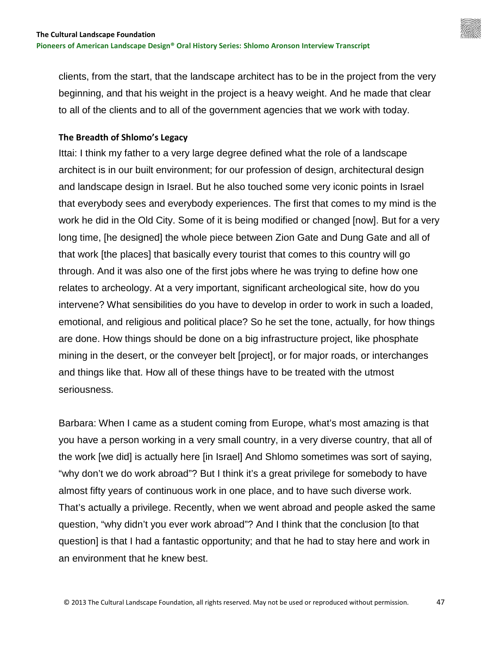clients, from the start, that the landscape architect has to be in the project from the very beginning, and that his weight in the project is a heavy weight. And he made that clear to all of the clients and to all of the government agencies that we work with today.

## **The Breadth of Shlomo's Legacy**

Ittai: I think my father to a very large degree defined what the role of a landscape architect is in our built environment; for our profession of design, architectural design and landscape design in Israel. But he also touched some very iconic points in Israel that everybody sees and everybody experiences. The first that comes to my mind is the work he did in the Old City. Some of it is being modified or changed [now]. But for a very long time, [he designed] the whole piece between Zion Gate and Dung Gate and all of that work [the places] that basically every tourist that comes to this country will go through. And it was also one of the first jobs where he was trying to define how one relates to archeology. At a very important, significant archeological site, how do you intervene? What sensibilities do you have to develop in order to work in such a loaded, emotional, and religious and political place? So he set the tone, actually, for how things are done. How things should be done on a big infrastructure project, like phosphate mining in the desert, or the conveyer belt [project], or for major roads, or interchanges and things like that. How all of these things have to be treated with the utmost seriousness.

Barbara: When I came as a student coming from Europe, what's most amazing is that you have a person working in a very small country, in a very diverse country, that all of the work [we did] is actually here [in Israel] And Shlomo sometimes was sort of saying, "why don't we do work abroad"? But I think it's a great privilege for somebody to have almost fifty years of continuous work in one place, and to have such diverse work. That's actually a privilege. Recently, when we went abroad and people asked the same question, "why didn't you ever work abroad"? And I think that the conclusion [to that question] is that I had a fantastic opportunity; and that he had to stay here and work in an environment that he knew best.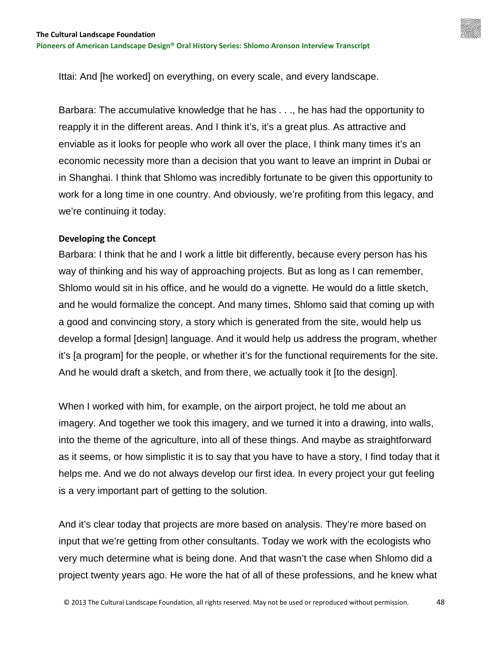**Pioneers of American Landscape Design® Oral History Series: Shlomo Aronson Interview Transcript**

Ittai: And [he worked] on everything, on every scale, and every landscape.

Barbara: The accumulative knowledge that he has . . ., he has had the opportunity to reapply it in the different areas. And I think it's, it's a great plus. As attractive and enviable as it looks for people who work all over the place, I think many times it's an economic necessity more than a decision that you want to leave an imprint in Dubai or in Shanghai. I think that Shlomo was incredibly fortunate to be given this opportunity to work for a long time in one country. And obviously, we're profiting from this legacy, and we're continuing it today.

#### **Developing the Concept**

Barbara: I think that he and I work a little bit differently, because every person has his way of thinking and his way of approaching projects. But as long as I can remember, Shlomo would sit in his office, and he would do a vignette. He would do a little sketch, and he would formalize the concept. And many times, Shlomo said that coming up with a good and convincing story, a story which is generated from the site, would help us develop a formal [design] language. And it would help us address the program, whether it's [a program] for the people, or whether it's for the functional requirements for the site. And he would draft a sketch, and from there, we actually took it [to the design].

When I worked with him, for example, on the airport project, he told me about an imagery. And together we took this imagery, and we turned it into a drawing, into walls, into the theme of the agriculture, into all of these things. And maybe as straightforward as it seems, or how simplistic it is to say that you have to have a story, I find today that it helps me. And we do not always develop our first idea. In every project your gut feeling is a very important part of getting to the solution.

And it's clear today that projects are more based on analysis. They're more based on input that we're getting from other consultants. Today we work with the ecologists who very much determine what is being done. And that wasn't the case when Shlomo did a project twenty years ago. He wore the hat of all of these professions, and he knew what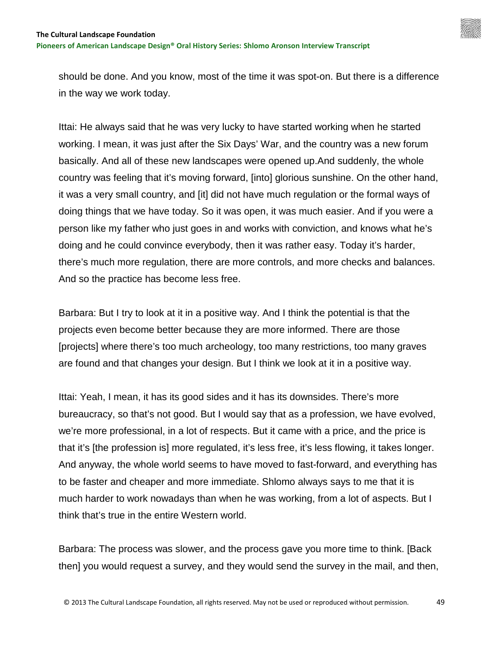**Pioneers of American Landscape Design® Oral History Series: Shlomo Aronson Interview Transcript**

should be done. And you know, most of the time it was spot-on. But there is a difference in the way we work today.

Ittai: He always said that he was very lucky to have started working when he started working. I mean, it was just after the Six Days' War, and the country was a new forum basically. And all of these new landscapes were opened up.And suddenly, the whole country was feeling that it's moving forward, [into] glorious sunshine. On the other hand, it was a very small country, and [it] did not have much regulation or the formal ways of doing things that we have today. So it was open, it was much easier. And if you were a person like my father who just goes in and works with conviction, and knows what he's doing and he could convince everybody, then it was rather easy. Today it's harder, there's much more regulation, there are more controls, and more checks and balances. And so the practice has become less free.

Barbara: But I try to look at it in a positive way. And I think the potential is that the projects even become better because they are more informed. There are those [projects] where there's too much archeology, too many restrictions, too many graves are found and that changes your design. But I think we look at it in a positive way.

Ittai: Yeah, I mean, it has its good sides and it has its downsides. There's more bureaucracy, so that's not good. But I would say that as a profession, we have evolved, we're more professional, in a lot of respects. But it came with a price, and the price is that it's [the profession is] more regulated, it's less free, it's less flowing, it takes longer. And anyway, the whole world seems to have moved to fast-forward, and everything has to be faster and cheaper and more immediate. Shlomo always says to me that it is much harder to work nowadays than when he was working, from a lot of aspects. But I think that's true in the entire Western world.

Barbara: The process was slower, and the process gave you more time to think. [Back then] you would request a survey, and they would send the survey in the mail, and then,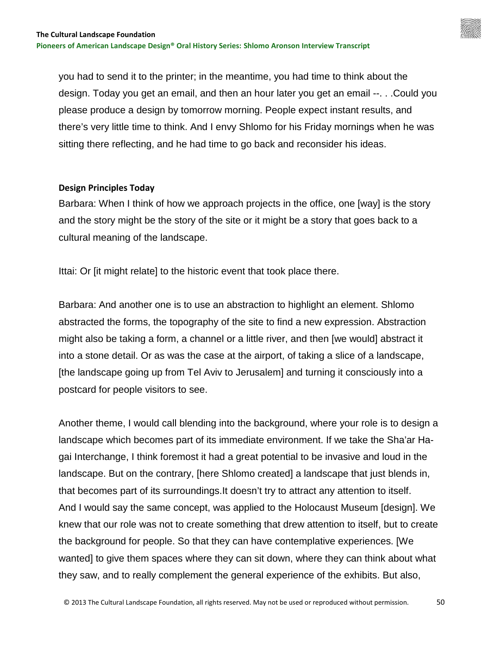you had to send it to the printer; in the meantime, you had time to think about the design. Today you get an email, and then an hour later you get an email --. . .Could you please produce a design by tomorrow morning. People expect instant results, and there's very little time to think. And I envy Shlomo for his Friday mornings when he was sitting there reflecting, and he had time to go back and reconsider his ideas.

#### **Design Principles Today**

Barbara: When I think of how we approach projects in the office, one [way] is the story and the story might be the story of the site or it might be a story that goes back to a cultural meaning of the landscape.

Ittai: Or [it might relate] to the historic event that took place there.

Barbara: And another one is to use an abstraction to highlight an element. Shlomo abstracted the forms, the topography of the site to find a new expression. Abstraction might also be taking a form, a channel or a little river, and then [we would] abstract it into a stone detail. Or as was the case at the airport, of taking a slice of a landscape, [the landscape going up from Tel Aviv to Jerusalem] and turning it consciously into a postcard for people visitors to see.

Another theme, I would call blending into the background, where your role is to design a landscape which becomes part of its immediate environment. If we take the Sha'ar Hagai Interchange, I think foremost it had a great potential to be invasive and loud in the landscape. But on the contrary, [here Shlomo created] a landscape that just blends in, that becomes part of its surroundings.It doesn't try to attract any attention to itself. And I would say the same concept, was applied to the Holocaust Museum [design]. We knew that our role was not to create something that drew attention to itself, but to create the background for people. So that they can have contemplative experiences. [We wanted] to give them spaces where they can sit down, where they can think about what they saw, and to really complement the general experience of the exhibits. But also,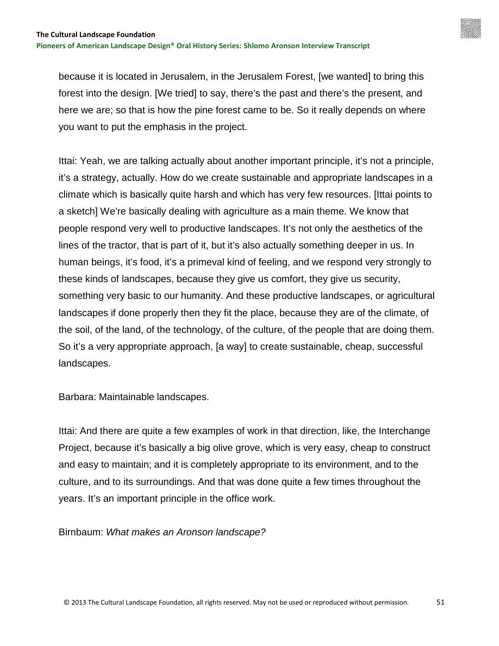because it is located in Jerusalem, in the Jerusalem Forest, [we wanted] to bring this forest into the design. [We tried] to say, there's the past and there's the present, and here we are; so that is how the pine forest came to be. So it really depends on where you want to put the emphasis in the project.

Ittai: Yeah, we are talking actually about another important principle, it's not a principle, it's a strategy, actually. How do we create sustainable and appropriate landscapes in a climate which is basically quite harsh and which has very few resources. [Ittai points to a sketch] We're basically dealing with agriculture as a main theme. We know that people respond very well to productive landscapes. It's not only the aesthetics of the lines of the tractor, that is part of it, but it's also actually something deeper in us. In human beings, it's food, it's a primeval kind of feeling, and we respond very strongly to these kinds of landscapes, because they give us comfort, they give us security, something very basic to our humanity. And these productive landscapes, or agricultural landscapes if done properly then they fit the place, because they are of the climate, of the soil, of the land, of the technology, of the culture, of the people that are doing them. So it's a very appropriate approach, [a way] to create sustainable, cheap, successful landscapes.

Barbara: Maintainable landscapes.

Ittai: And there are quite a few examples of work in that direction, like, the Interchange Project, because it's basically a big olive grove, which is very easy, cheap to construct and easy to maintain; and it is completely appropriate to its environment, and to the culture, and to its surroundings. And that was done quite a few times throughout the years. It's an important principle in the office work.

Birnbaum: *What makes an Aronson landscape?*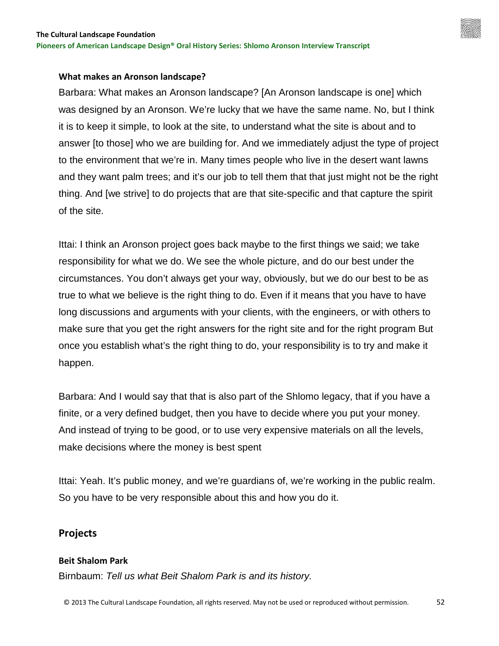

## **What makes an Aronson landscape?**

Barbara: What makes an Aronson landscape? [An Aronson landscape is one] which was designed by an Aronson. We're lucky that we have the same name. No, but I think it is to keep it simple, to look at the site, to understand what the site is about and to answer [to those] who we are building for. And we immediately adjust the type of project to the environment that we're in. Many times people who live in the desert want lawns and they want palm trees; and it's our job to tell them that that just might not be the right thing. And [we strive] to do projects that are that site-specific and that capture the spirit of the site.

Ittai: I think an Aronson project goes back maybe to the first things we said; we take responsibility for what we do. We see the whole picture, and do our best under the circumstances. You don't always get your way, obviously, but we do our best to be as true to what we believe is the right thing to do. Even if it means that you have to have long discussions and arguments with your clients, with the engineers, or with others to make sure that you get the right answers for the right site and for the right program But once you establish what's the right thing to do, your responsibility is to try and make it happen.

Barbara: And I would say that that is also part of the Shlomo legacy, that if you have a finite, or a very defined budget, then you have to decide where you put your money. And instead of trying to be good, or to use very expensive materials on all the levels, make decisions where the money is best spent

Ittai: Yeah. It's public money, and we're guardians of, we're working in the public realm. So you have to be very responsible about this and how you do it.

# **Projects**

## **Beit Shalom Park**

Birnbaum: *Tell us what Beit Shalom Park is and its history.*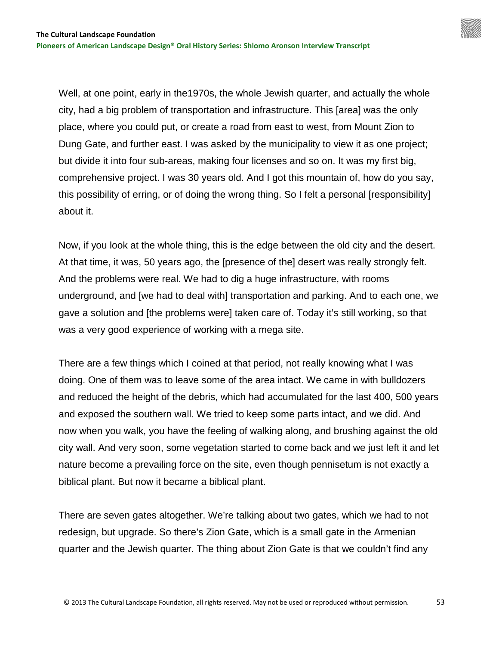Well, at one point, early in the1970s, the whole Jewish quarter, and actually the whole city, had a big problem of transportation and infrastructure. This [area] was the only place, where you could put, or create a road from east to west, from Mount Zion to Dung Gate, and further east. I was asked by the municipality to view it as one project; but divide it into four sub-areas, making four licenses and so on. It was my first big, comprehensive project. I was 30 years old. And I got this mountain of, how do you say, this possibility of erring, or of doing the wrong thing. So I felt a personal [responsibility] about it.

Now, if you look at the whole thing, this is the edge between the old city and the desert. At that time, it was, 50 years ago, the [presence of the] desert was really strongly felt. And the problems were real. We had to dig a huge infrastructure, with rooms underground, and [we had to deal with] transportation and parking. And to each one, we gave a solution and [the problems were] taken care of. Today it's still working, so that was a very good experience of working with a mega site.

There are a few things which I coined at that period, not really knowing what I was doing. One of them was to leave some of the area intact. We came in with bulldozers and reduced the height of the debris, which had accumulated for the last 400, 500 years and exposed the southern wall. We tried to keep some parts intact, and we did. And now when you walk, you have the feeling of walking along, and brushing against the old city wall. And very soon, some vegetation started to come back and we just left it and let nature become a prevailing force on the site, even though pennisetum is not exactly a biblical plant. But now it became a biblical plant.

There are seven gates altogether. We're talking about two gates, which we had to not redesign, but upgrade. So there's Zion Gate, which is a small gate in the Armenian quarter and the Jewish quarter. The thing about Zion Gate is that we couldn't find any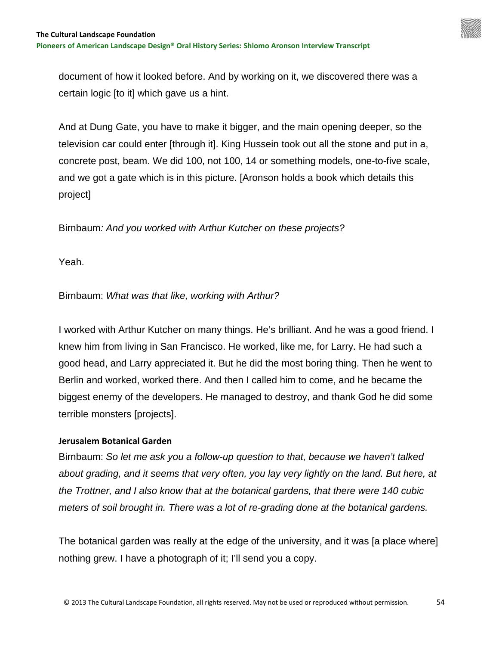

document of how it looked before. And by working on it, we discovered there was a certain logic [to it] which gave us a hint.

And at Dung Gate, you have to make it bigger, and the main opening deeper, so the television car could enter [through it]. King Hussein took out all the stone and put in a, concrete post, beam. We did 100, not 100, 14 or something models, one-to-five scale, and we got a gate which is in this picture. [Aronson holds a book which details this project]

# Birnbaum*: And you worked with Arthur Kutcher on these projects?*

Yeah.

# Birnbaum: *What was that like, working with Arthur?*

I worked with Arthur Kutcher on many things. He's brilliant. And he was a good friend. I knew him from living in San Francisco. He worked, like me, for Larry. He had such a good head, and Larry appreciated it. But he did the most boring thing. Then he went to Berlin and worked, worked there. And then I called him to come, and he became the biggest enemy of the developers. He managed to destroy, and thank God he did some terrible monsters [projects].

## **Jerusalem Botanical Garden**

Birnbaum: *So let me ask you a follow-up question to that, because we haven't talked about grading, and it seems that very often, you lay very lightly on the land. But here, at the Trottner, and I also know that at the botanical gardens, that there were 140 cubic meters of soil brought in. There was a lot of re-grading done at the botanical gardens.*

The botanical garden was really at the edge of the university, and it was [a place where] nothing grew. I have a photograph of it; I'll send you a copy.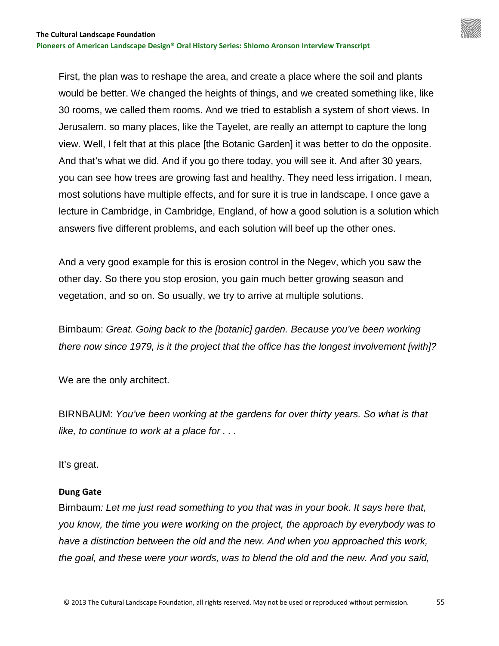**Pioneers of American Landscape Design® Oral History Series: Shlomo Aronson Interview Transcript**

First, the plan was to reshape the area, and create a place where the soil and plants would be better. We changed the heights of things, and we created something like, like 30 rooms, we called them rooms. And we tried to establish a system of short views. In Jerusalem. so many places, like the Tayelet, are really an attempt to capture the long view. Well, I felt that at this place [the Botanic Garden] it was better to do the opposite. And that's what we did. And if you go there today, you will see it. And after 30 years, you can see how trees are growing fast and healthy. They need less irrigation. I mean, most solutions have multiple effects, and for sure it is true in landscape. I once gave a lecture in Cambridge, in Cambridge, England, of how a good solution is a solution which answers five different problems, and each solution will beef up the other ones.

And a very good example for this is erosion control in the Negev, which you saw the other day. So there you stop erosion, you gain much better growing season and vegetation, and so on. So usually, we try to arrive at multiple solutions.

Birnbaum: *Great. Going back to the [botanic] garden. Because you've been working there now since 1979, is it the project that the office has the longest involvement [with]?*

We are the only architect.

BIRNBAUM: *You've been working at the gardens for over thirty years. So what is that like, to continue to work at a place for . . .*

It's great.

#### **Dung Gate**

Birnbaum*: Let me just read something to you that was in your book. It says here that, you know, the time you were working on the project, the approach by everybody was to have a distinction between the old and the new. And when you approached this work, the goal, and these were your words, was to blend the old and the new. And you said,*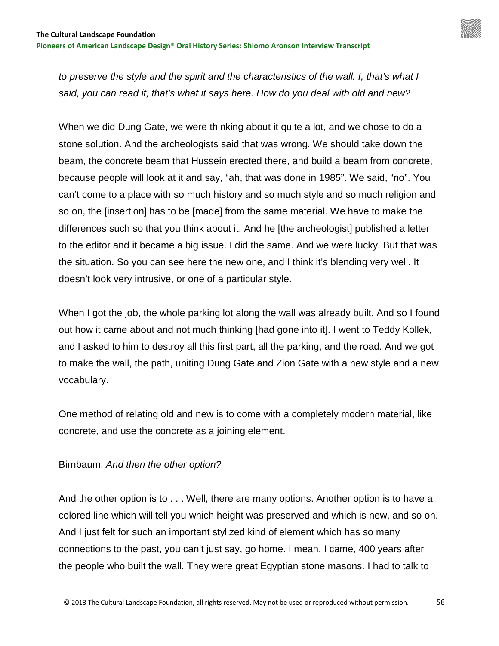*to preserve the style and the spirit and the characteristics of the wall. I, that's what I said, you can read it, that's what it says here. How do you deal with old and new?*

When we did Dung Gate, we were thinking about it quite a lot, and we chose to do a stone solution. And the archeologists said that was wrong. We should take down the beam, the concrete beam that Hussein erected there, and build a beam from concrete, because people will look at it and say, "ah, that was done in 1985". We said, "no". You can't come to a place with so much history and so much style and so much religion and so on, the [insertion] has to be [made] from the same material. We have to make the differences such so that you think about it. And he [the archeologist] published a letter to the editor and it became a big issue. I did the same. And we were lucky. But that was the situation. So you can see here the new one, and I think it's blending very well. It doesn't look very intrusive, or one of a particular style.

When I got the job, the whole parking lot along the wall was already built. And so I found out how it came about and not much thinking [had gone into it]. I went to Teddy Kollek, and I asked to him to destroy all this first part, all the parking, and the road. And we got to make the wall, the path, uniting Dung Gate and Zion Gate with a new style and a new vocabulary.

One method of relating old and new is to come with a completely modern material, like concrete, and use the concrete as a joining element.

# Birnbaum: *And then the other option?*

And the other option is to . . . Well, there are many options. Another option is to have a colored line which will tell you which height was preserved and which is new, and so on. And I just felt for such an important stylized kind of element which has so many connections to the past, you can't just say, go home. I mean, I came, 400 years after the people who built the wall. They were great Egyptian stone masons. I had to talk to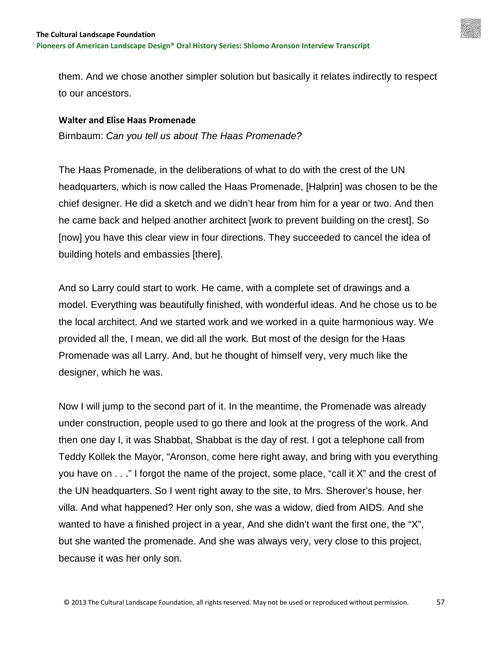

them. And we chose another simpler solution but basically it relates indirectly to respect to our ancestors.

#### **Walter and Elise Haas Promenade**

Birnbaum: *Can you tell us about The Haas Promenade?*

The Haas Promenade, in the deliberations of what to do with the crest of the UN headquarters, which is now called the Haas Promenade, [Halprin] was chosen to be the chief designer. He did a sketch and we didn't hear from him for a year or two. And then he came back and helped another architect [work to prevent building on the crest]. So [now] you have this clear view in four directions. They succeeded to cancel the idea of building hotels and embassies [there].

And so Larry could start to work. He came, with a complete set of drawings and a model. Everything was beautifully finished, with wonderful ideas. And he chose us to be the local architect. And we started work and we worked in a quite harmonious way. We provided all the, I mean, we did all the work. But most of the design for the Haas Promenade was all Larry. And, but he thought of himself very, very much like the designer, which he was.

Now I will jump to the second part of it. In the meantime, the Promenade was already under construction, people used to go there and look at the progress of the work. And then one day I, it was Shabbat, Shabbat is the day of rest. I got a telephone call from Teddy Kollek the Mayor, "Aronson, come here right away, and bring with you everything you have on . . ." I forgot the name of the project, some place, "call it X" and the crest of the UN headquarters. So I went right away to the site, to Mrs. Sherover's house, her villa. And what happened? Her only son, she was a widow, died from AIDS. And she wanted to have a finished project in a year, And she didn't want the first one, the "X", but she wanted the promenade. And she was always very, very close to this project, because it was her only son.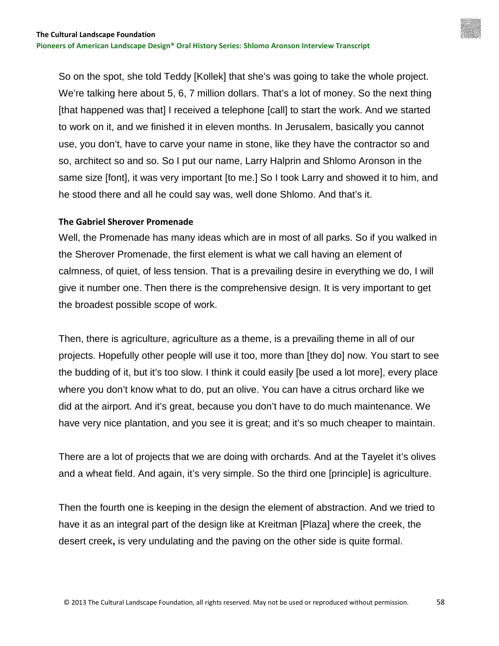So on the spot, she told Teddy [Kollek] that she's was going to take the whole project. We're talking here about 5, 6, 7 million dollars. That's a lot of money. So the next thing [that happened was that] I received a telephone [call] to start the work. And we started to work on it, and we finished it in eleven months. In Jerusalem, basically you cannot use, you don't, have to carve your name in stone, like they have the contractor so and so, architect so and so. So I put our name, Larry Halprin and Shlomo Aronson in the same size [font], it was very important [to me.] So I took Larry and showed it to him, and he stood there and all he could say was, well done Shlomo. And that's it.

## **The Gabriel Sherover Promenade**

Well, the Promenade has many ideas which are in most of all parks. So if you walked in the Sherover Promenade, the first element is what we call having an element of calmness, of quiet, of less tension. That is a prevailing desire in everything we do, I will give it number one. Then there is the comprehensive design. It is very important to get the broadest possible scope of work.

Then, there is agriculture, agriculture as a theme, is a prevailing theme in all of our projects. Hopefully other people will use it too, more than [they do] now. You start to see the budding of it, but it's too slow. I think it could easily [be used a lot more], every place where you don't know what to do, put an olive. You can have a citrus orchard like we did at the airport. And it's great, because you don't have to do much maintenance. We have very nice plantation, and you see it is great; and it's so much cheaper to maintain.

There are a lot of projects that we are doing with orchards. And at the Tayelet it's olives and a wheat field. And again, it's very simple. So the third one [principle] is agriculture.

Then the fourth one is keeping in the design the element of abstraction. And we tried to have it as an integral part of the design like at Kreitman [Plaza] where the creek, the desert creek**,** is very undulating and the paving on the other side is quite formal.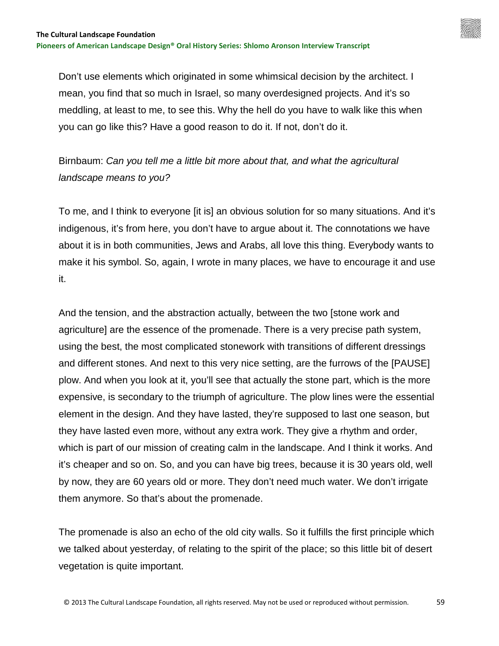Don't use elements which originated in some whimsical decision by the architect. I mean, you find that so much in Israel, so many overdesigned projects. And it's so meddling, at least to me, to see this. Why the hell do you have to walk like this when you can go like this? Have a good reason to do it. If not, don't do it.

# Birnbaum: *Can you tell me a little bit more about that, and what the agricultural landscape means to you?*

To me, and I think to everyone [it is] an obvious solution for so many situations. And it's indigenous, it's from here, you don't have to argue about it. The connotations we have about it is in both communities, Jews and Arabs, all love this thing. Everybody wants to make it his symbol. So, again, I wrote in many places, we have to encourage it and use it.

And the tension, and the abstraction actually, between the two [stone work and agriculture] are the essence of the promenade. There is a very precise path system, using the best, the most complicated stonework with transitions of different dressings and different stones. And next to this very nice setting, are the furrows of the [PAUSE] plow. And when you look at it, you'll see that actually the stone part, which is the more expensive, is secondary to the triumph of agriculture. The plow lines were the essential element in the design. And they have lasted, they're supposed to last one season, but they have lasted even more, without any extra work. They give a rhythm and order, which is part of our mission of creating calm in the landscape. And I think it works. And it's cheaper and so on. So, and you can have big trees, because it is 30 years old, well by now, they are 60 years old or more. They don't need much water. We don't irrigate them anymore. So that's about the promenade.

The promenade is also an echo of the old city walls. So it fulfills the first principle which we talked about yesterday, of relating to the spirit of the place; so this little bit of desert vegetation is quite important.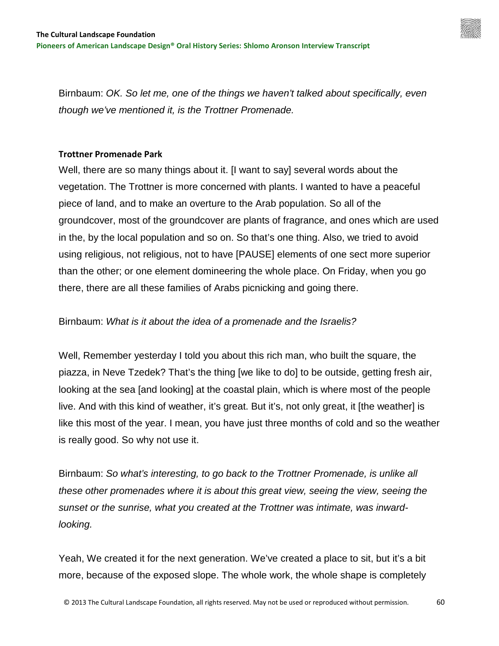Birnbaum: *OK. So let me, one of the things we haven't talked about specifically, even though we've mentioned it, is the Trottner Promenade.*

#### **Trottner Promenade Park**

Well, there are so many things about it. [I want to say] several words about the vegetation. The Trottner is more concerned with plants. I wanted to have a peaceful piece of land, and to make an overture to the Arab population. So all of the groundcover, most of the groundcover are plants of fragrance, and ones which are used in the, by the local population and so on. So that's one thing. Also, we tried to avoid using religious, not religious, not to have [PAUSE] elements of one sect more superior than the other; or one element domineering the whole place. On Friday, when you go there, there are all these families of Arabs picnicking and going there.

## Birnbaum: *What is it about the idea of a promenade and the Israelis?*

Well, Remember yesterday I told you about this rich man, who built the square, the piazza, in Neve Tzedek? That's the thing [we like to do] to be outside, getting fresh air, looking at the sea [and looking] at the coastal plain, which is where most of the people live. And with this kind of weather, it's great. But it's, not only great, it [the weather] is like this most of the year. I mean, you have just three months of cold and so the weather is really good. So why not use it.

Birnbaum: *So what's interesting, to go back to the Trottner Promenade, is unlike all these other promenades where it is about this great view, seeing the view, seeing the sunset or the sunrise, what you created at the Trottner was intimate, was inwardlooking.*

Yeah, We created it for the next generation. We've created a place to sit, but it's a bit more, because of the exposed slope. The whole work, the whole shape is completely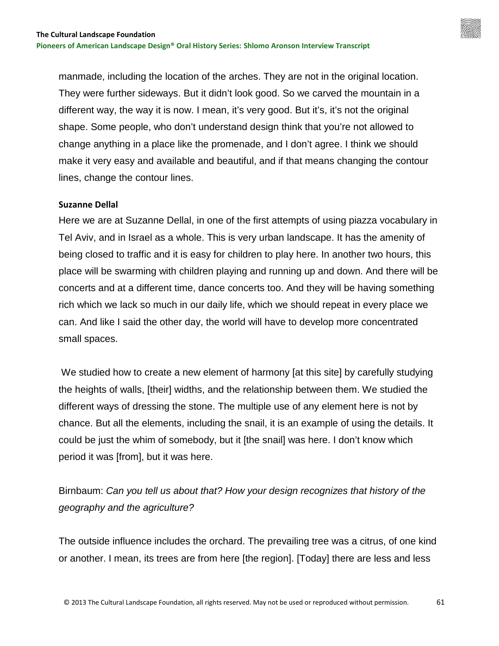manmade, including the location of the arches. They are not in the original location. They were further sideways. But it didn't look good. So we carved the mountain in a different way, the way it is now. I mean, it's very good. But it's, it's not the original shape. Some people, who don't understand design think that you're not allowed to change anything in a place like the promenade, and I don't agree. I think we should make it very easy and available and beautiful, and if that means changing the contour lines, change the contour lines.

#### **Suzanne Dellal**

Here we are at Suzanne Dellal, in one of the first attempts of using piazza vocabulary in Tel Aviv, and in Israel as a whole. This is very urban landscape. It has the amenity of being closed to traffic and it is easy for children to play here. In another two hours, this place will be swarming with children playing and running up and down. And there will be concerts and at a different time, dance concerts too. And they will be having something rich which we lack so much in our daily life, which we should repeat in every place we can. And like I said the other day, the world will have to develop more concentrated small spaces.

We studied how to create a new element of harmony [at this site] by carefully studying the heights of walls, [their] widths, and the relationship between them. We studied the different ways of dressing the stone. The multiple use of any element here is not by chance. But all the elements, including the snail, it is an example of using the details. It could be just the whim of somebody, but it [the snail] was here. I don't know which period it was [from], but it was here.

Birnbaum: *Can you tell us about that? How your design recognizes that history of the geography and the agriculture?*

The outside influence includes the orchard. The prevailing tree was a citrus, of one kind or another. I mean, its trees are from here [the region]. [Today] there are less and less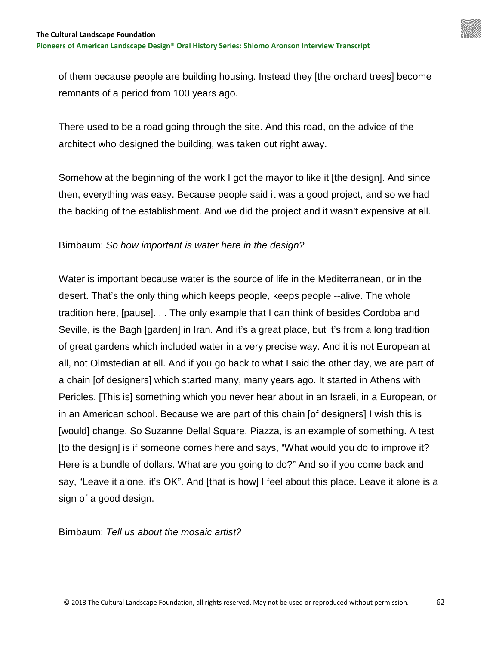

of them because people are building housing. Instead they [the orchard trees] become remnants of a period from 100 years ago.

There used to be a road going through the site. And this road, on the advice of the architect who designed the building, was taken out right away.

Somehow at the beginning of the work I got the mayor to like it [the design]. And since then, everything was easy. Because people said it was a good project, and so we had the backing of the establishment. And we did the project and it wasn't expensive at all.

# Birnbaum: *So how important is water here in the design?*

Water is important because water is the source of life in the Mediterranean, or in the desert. That's the only thing which keeps people, keeps people --alive. The whole tradition here, [pause]. . . The only example that I can think of besides Cordoba and Seville, is the Bagh [garden] in Iran. And it's a great place, but it's from a long tradition of great gardens which included water in a very precise way. And it is not European at all, not Olmstedian at all. And if you go back to what I said the other day, we are part of a chain [of designers] which started many, many years ago. It started in Athens with Pericles. [This is] something which you never hear about in an Israeli, in a European, or in an American school. Because we are part of this chain [of designers] I wish this is [would] change. So Suzanne Dellal Square, Piazza, is an example of something. A test [to the design] is if someone comes here and says, "What would you do to improve it? Here is a bundle of dollars. What are you going to do?" And so if you come back and say, "Leave it alone, it's OK". And [that is how] I feel about this place. Leave it alone is a sign of a good design.

Birnbaum: *Tell us about the mosaic artist?*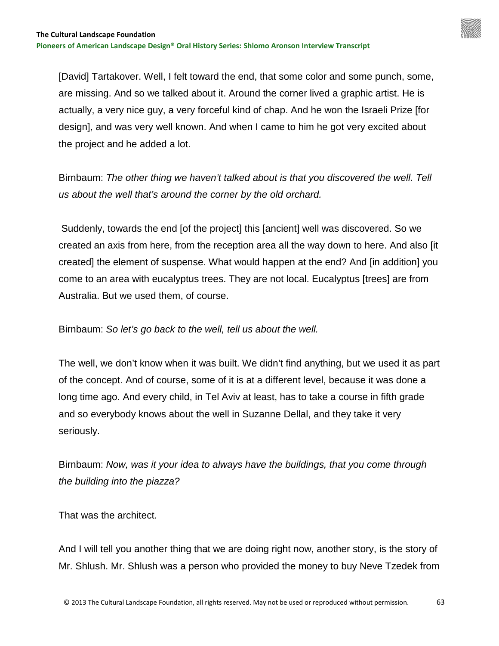[David] Tartakover. Well, I felt toward the end, that some color and some punch, some, are missing. And so we talked about it. Around the corner lived a graphic artist. He is actually, a very nice guy, a very forceful kind of chap. And he won the Israeli Prize [for design], and was very well known. And when I came to him he got very excited about the project and he added a lot.

Birnbaum: *The other thing we haven't talked about is that you discovered the well. Tell us about the well that's around the corner by the old orchard.*

Suddenly, towards the end [of the project] this [ancient] well was discovered. So we created an axis from here, from the reception area all the way down to here. And also [it created] the element of suspense. What would happen at the end? And [in addition] you come to an area with eucalyptus trees. They are not local. Eucalyptus [trees] are from Australia. But we used them, of course.

Birnbaum: *So let's go back to the well, tell us about the well.*

The well, we don't know when it was built. We didn't find anything, but we used it as part of the concept. And of course, some of it is at a different level, because it was done a long time ago. And every child, in Tel Aviv at least, has to take a course in fifth grade and so everybody knows about the well in Suzanne Dellal, and they take it very seriously.

Birnbaum: *Now, was it your idea to always have the buildings, that you come through the building into the piazza?*

That was the architect.

And I will tell you another thing that we are doing right now, another story, is the story of Mr. Shlush. Mr. Shlush was a person who provided the money to buy Neve Tzedek from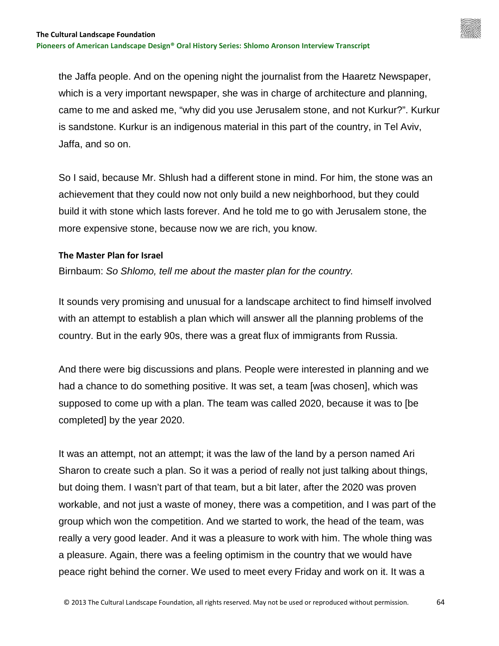the Jaffa people. And on the opening night the journalist from the Haaretz Newspaper, which is a very important newspaper, she was in charge of architecture and planning, came to me and asked me, "why did you use Jerusalem stone, and not Kurkur?". Kurkur is sandstone. Kurkur is an indigenous material in this part of the country, in Tel Aviv, Jaffa, and so on.

So I said, because Mr. Shlush had a different stone in mind. For him, the stone was an achievement that they could now not only build a new neighborhood, but they could build it with stone which lasts forever. And he told me to go with Jerusalem stone, the more expensive stone, because now we are rich, you know.

## **The Master Plan for Israel**

Birnbaum: *So Shlomo, tell me about the master plan for the country.* 

It sounds very promising and unusual for a landscape architect to find himself involved with an attempt to establish a plan which will answer all the planning problems of the country. But in the early 90s, there was a great flux of immigrants from Russia.

And there were big discussions and plans. People were interested in planning and we had a chance to do something positive. It was set, a team [was chosen], which was supposed to come up with a plan. The team was called 2020, because it was to [be completed] by the year 2020.

It was an attempt, not an attempt; it was the law of the land by a person named Ari Sharon to create such a plan. So it was a period of really not just talking about things, but doing them. I wasn't part of that team, but a bit later, after the 2020 was proven workable, and not just a waste of money, there was a competition, and I was part of the group which won the competition. And we started to work, the head of the team, was really a very good leader. And it was a pleasure to work with him. The whole thing was a pleasure. Again, there was a feeling optimism in the country that we would have peace right behind the corner. We used to meet every Friday and work on it. It was a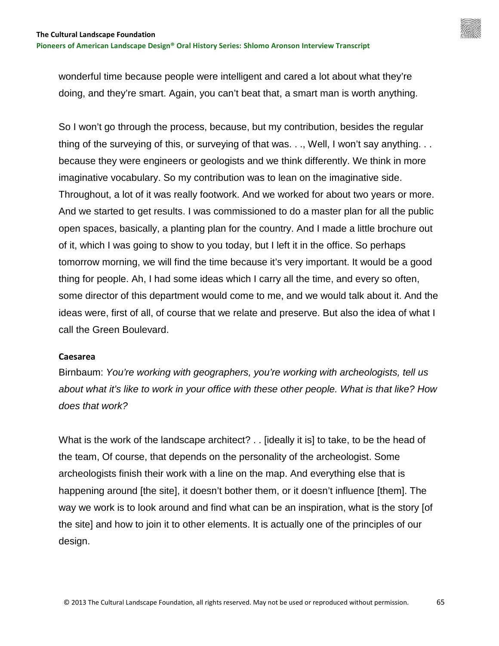wonderful time because people were intelligent and cared a lot about what they're doing, and they're smart. Again, you can't beat that, a smart man is worth anything.

So I won't go through the process, because, but my contribution, besides the regular thing of the surveying of this, or surveying of that was. . ., Well, I won't say anything. . . because they were engineers or geologists and we think differently. We think in more imaginative vocabulary. So my contribution was to lean on the imaginative side. Throughout, a lot of it was really footwork. And we worked for about two years or more. And we started to get results. I was commissioned to do a master plan for all the public open spaces, basically, a planting plan for the country. And I made a little brochure out of it, which I was going to show to you today, but I left it in the office. So perhaps tomorrow morning, we will find the time because it's very important. It would be a good thing for people. Ah, I had some ideas which I carry all the time, and every so often, some director of this department would come to me, and we would talk about it. And the ideas were, first of all, of course that we relate and preserve. But also the idea of what I call the Green Boulevard.

#### **Caesarea**

Birnbaum: *You're working with geographers, you're working with archeologists, tell us about what it's like to work in your office with these other people. What is that like? How does that work?*

What is the work of the landscape architect? . . [ideally it is] to take, to be the head of the team, Of course, that depends on the personality of the archeologist. Some archeologists finish their work with a line on the map. And everything else that is happening around [the site], it doesn't bother them, or it doesn't influence [them]. The way we work is to look around and find what can be an inspiration, what is the story [of the site] and how to join it to other elements. It is actually one of the principles of our design.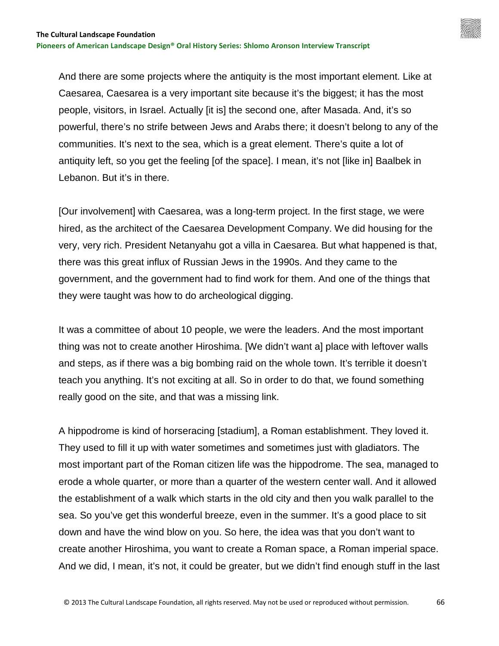And there are some projects where the antiquity is the most important element. Like at Caesarea, Caesarea is a very important site because it's the biggest; it has the most people, visitors, in Israel. Actually [it is] the second one, after Masada. And, it's so powerful, there's no strife between Jews and Arabs there; it doesn't belong to any of the communities. It's next to the sea, which is a great element. There's quite a lot of antiquity left, so you get the feeling [of the space]. I mean, it's not [like in] Baalbek in Lebanon. But it's in there.

[Our involvement] with Caesarea, was a long-term project. In the first stage, we were hired, as the architect of the Caesarea Development Company. We did housing for the very, very rich. President Netanyahu got a villa in Caesarea. But what happened is that, there was this great influx of Russian Jews in the 1990s. And they came to the government, and the government had to find work for them. And one of the things that they were taught was how to do archeological digging.

It was a committee of about 10 people, we were the leaders. And the most important thing was not to create another Hiroshima. [We didn't want a] place with leftover walls and steps, as if there was a big bombing raid on the whole town. It's terrible it doesn't teach you anything. It's not exciting at all. So in order to do that, we found something really good on the site, and that was a missing link.

A hippodrome is kind of horseracing [stadium], a Roman establishment. They loved it. They used to fill it up with water sometimes and sometimes just with gladiators. The most important part of the Roman citizen life was the hippodrome. The sea, managed to erode a whole quarter, or more than a quarter of the western center wall. And it allowed the establishment of a walk which starts in the old city and then you walk parallel to the sea. So you've get this wonderful breeze, even in the summer. It's a good place to sit down and have the wind blow on you. So here, the idea was that you don't want to create another Hiroshima, you want to create a Roman space, a Roman imperial space. And we did, I mean, it's not, it could be greater, but we didn't find enough stuff in the last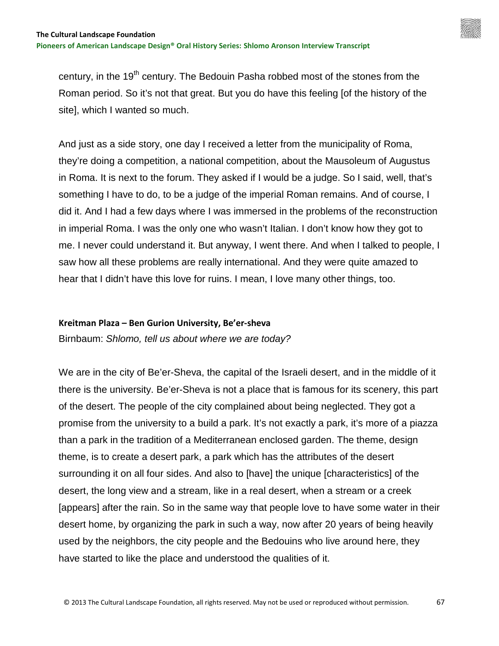century, in the 19<sup>th</sup> century. The Bedouin Pasha robbed most of the stones from the Roman period. So it's not that great. But you do have this feeling [of the history of the site], which I wanted so much.

And just as a side story, one day I received a letter from the municipality of Roma, they're doing a competition, a national competition, about the Mausoleum of Augustus in Roma. It is next to the forum. They asked if I would be a judge. So I said, well, that's something I have to do, to be a judge of the imperial Roman remains. And of course, I did it. And I had a few days where I was immersed in the problems of the reconstruction in imperial Roma. I was the only one who wasn't Italian. I don't know how they got to me. I never could understand it. But anyway, I went there. And when I talked to people, I saw how all these problems are really international. And they were quite amazed to hear that I didn't have this love for ruins. I mean, I love many other things, too.

#### **Kreitman Plaza – Ben Gurion University, Be'er-sheva**

Birnbaum: *Shlomo, tell us about where we are today?*

We are in the city of Be'er-Sheva, the capital of the Israeli desert, and in the middle of it there is the university. Be'er-Sheva is not a place that is famous for its scenery, this part of the desert. The people of the city complained about being neglected. They got a promise from the university to a build a park. It's not exactly a park, it's more of a piazza than a park in the tradition of a Mediterranean enclosed garden. The theme, design theme, is to create a desert park, a park which has the attributes of the desert surrounding it on all four sides. And also to [have] the unique [characteristics] of the desert, the long view and a stream, like in a real desert, when a stream or a creek [appears] after the rain. So in the same way that people love to have some water in their desert home, by organizing the park in such a way, now after 20 years of being heavily used by the neighbors, the city people and the Bedouins who live around here, they have started to like the place and understood the qualities of it.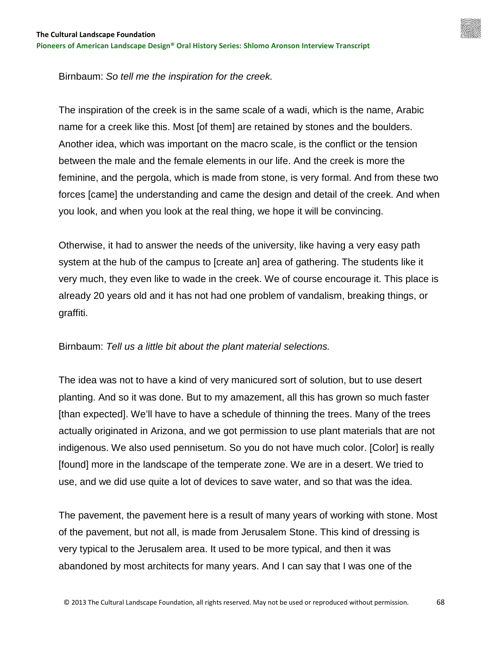

Birnbaum: *So tell me the inspiration for the creek.*

The inspiration of the creek is in the same scale of a wadi, which is the name, Arabic name for a creek like this. Most [of them] are retained by stones and the boulders. Another idea, which was important on the macro scale, is the conflict or the tension between the male and the female elements in our life. And the creek is more the feminine, and the pergola, which is made from stone, is very formal. And from these two forces [came] the understanding and came the design and detail of the creek. And when you look, and when you look at the real thing, we hope it will be convincing.

Otherwise, it had to answer the needs of the university, like having a very easy path system at the hub of the campus to [create an] area of gathering. The students like it very much, they even like to wade in the creek. We of course encourage it. This place is already 20 years old and it has not had one problem of vandalism, breaking things, or graffiti.

# Birnbaum: *Tell us a little bit about the plant material selections.*

The idea was not to have a kind of very manicured sort of solution, but to use desert planting. And so it was done. But to my amazement, all this has grown so much faster [than expected]. We'll have to have a schedule of thinning the trees. Many of the trees actually originated in Arizona, and we got permission to use plant materials that are not indigenous. We also used pennisetum. So you do not have much color. [Color] is really [found] more in the landscape of the temperate zone. We are in a desert. We tried to use, and we did use quite a lot of devices to save water, and so that was the idea.

The pavement, the pavement here is a result of many years of working with stone. Most of the pavement, but not all, is made from Jerusalem Stone. This kind of dressing is very typical to the Jerusalem area. It used to be more typical, and then it was abandoned by most architects for many years. And I can say that I was one of the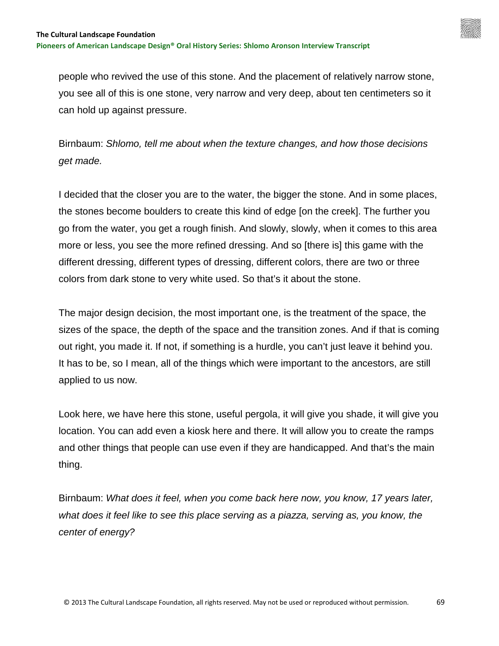people who revived the use of this stone. And the placement of relatively narrow stone, you see all of this is one stone, very narrow and very deep, about ten centimeters so it can hold up against pressure.

Birnbaum: *Shlomo, tell me about when the texture changes, and how those decisions get made.*

I decided that the closer you are to the water, the bigger the stone. And in some places, the stones become boulders to create this kind of edge [on the creek]. The further you go from the water, you get a rough finish. And slowly, slowly, when it comes to this area more or less, you see the more refined dressing. And so [there is] this game with the different dressing, different types of dressing, different colors, there are two or three colors from dark stone to very white used. So that's it about the stone.

The major design decision, the most important one, is the treatment of the space, the sizes of the space, the depth of the space and the transition zones. And if that is coming out right, you made it. If not, if something is a hurdle, you can't just leave it behind you. It has to be, so I mean, all of the things which were important to the ancestors, are still applied to us now.

Look here, we have here this stone, useful pergola, it will give you shade, it will give you location. You can add even a kiosk here and there. It will allow you to create the ramps and other things that people can use even if they are handicapped. And that's the main thing.

Birnbaum: *What does it feel, when you come back here now, you know, 17 years later, what does it feel like to see this place serving as a piazza, serving as, you know, the center of energy?*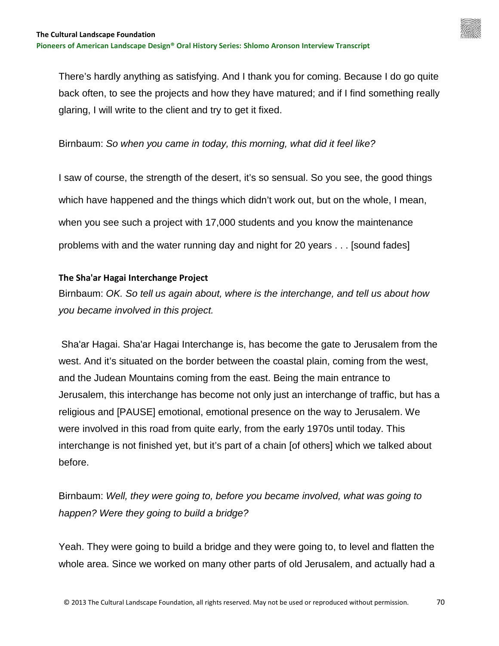There's hardly anything as satisfying. And I thank you for coming. Because I do go quite back often, to see the projects and how they have matured; and if I find something really glaring, I will write to the client and try to get it fixed.

Birnbaum: *So when you came in today, this morning, what did it feel like?*

I saw of course, the strength of the desert, it's so sensual. So you see, the good things which have happened and the things which didn't work out, but on the whole, I mean, when you see such a project with 17,000 students and you know the maintenance problems with and the water running day and night for 20 years . . . [sound fades]

# **The Sha'ar Hagai Interchange Project**

Birnbaum: *OK. So tell us again about, where is the interchange, and tell us about how you became involved in this project.*

Sha'ar Hagai. Sha'ar Hagai Interchange is, has become the gate to Jerusalem from the west. And it's situated on the border between the coastal plain, coming from the west, and the Judean Mountains coming from the east. Being the main entrance to Jerusalem, this interchange has become not only just an interchange of traffic, but has a religious and [PAUSE] emotional, emotional presence on the way to Jerusalem. We were involved in this road from quite early, from the early 1970s until today. This interchange is not finished yet, but it's part of a chain [of others] which we talked about before.

Birnbaum: *Well, they were going to, before you became involved, what was going to happen? Were they going to build a bridge?*

Yeah. They were going to build a bridge and they were going to, to level and flatten the whole area. Since we worked on many other parts of old Jerusalem, and actually had a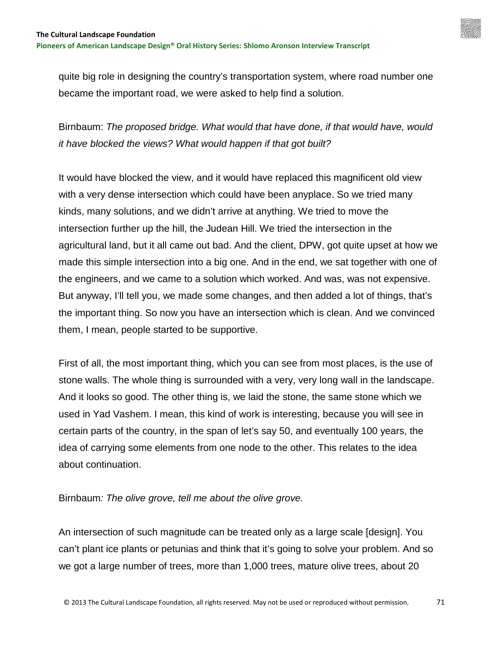

quite big role in designing the country's transportation system, where road number one became the important road, we were asked to help find a solution.

Birnbaum: *The proposed bridge. What would that have done, if that would have, would it have blocked the views? What would happen if that got built?*

It would have blocked the view, and it would have replaced this magnificent old view with a very dense intersection which could have been anyplace. So we tried many kinds, many solutions, and we didn't arrive at anything. We tried to move the intersection further up the hill, the Judean Hill. We tried the intersection in the agricultural land, but it all came out bad. And the client, DPW, got quite upset at how we made this simple intersection into a big one. And in the end, we sat together with one of the engineers, and we came to a solution which worked. And was, was not expensive. But anyway, I'll tell you, we made some changes, and then added a lot of things, that's the important thing. So now you have an intersection which is clean. And we convinced them, I mean, people started to be supportive.

First of all, the most important thing, which you can see from most places, is the use of stone walls. The whole thing is surrounded with a very, very long wall in the landscape. And it looks so good. The other thing is, we laid the stone, the same stone which we used in Yad Vashem. I mean, this kind of work is interesting, because you will see in certain parts of the country, in the span of let's say 50, and eventually 100 years, the idea of carrying some elements from one node to the other. This relates to the idea about continuation.

Birnbaum*: The olive grove, tell me about the olive grove.*

An intersection of such magnitude can be treated only as a large scale [design]. You can't plant ice plants or petunias and think that it's going to solve your problem. And so we got a large number of trees, more than 1,000 trees, mature olive trees, about 20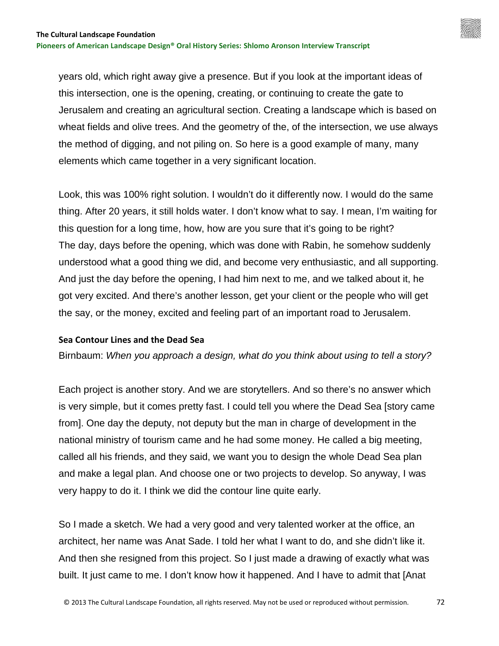years old, which right away give a presence. But if you look at the important ideas of this intersection, one is the opening, creating, or continuing to create the gate to Jerusalem and creating an agricultural section. Creating a landscape which is based on wheat fields and olive trees. And the geometry of the, of the intersection, we use always the method of digging, and not piling on. So here is a good example of many, many elements which came together in a very significant location.

Look, this was 100% right solution. I wouldn't do it differently now. I would do the same thing. After 20 years, it still holds water. I don't know what to say. I mean, I'm waiting for this question for a long time, how, how are you sure that it's going to be right? The day, days before the opening, which was done with Rabin, he somehow suddenly understood what a good thing we did, and become very enthusiastic, and all supporting. And just the day before the opening, I had him next to me, and we talked about it, he got very excited. And there's another lesson, get your client or the people who will get the say, or the money, excited and feeling part of an important road to Jerusalem.

#### **Sea Contour Lines and the Dead Sea**

Birnbaum: *When you approach a design, what do you think about using to tell a story?* 

Each project is another story. And we are storytellers. And so there's no answer which is very simple, but it comes pretty fast. I could tell you where the Dead Sea [story came from]. One day the deputy, not deputy but the man in charge of development in the national ministry of tourism came and he had some money. He called a big meeting, called all his friends, and they said, we want you to design the whole Dead Sea plan and make a legal plan. And choose one or two projects to develop. So anyway, I was very happy to do it. I think we did the contour line quite early.

So I made a sketch. We had a very good and very talented worker at the office, an architect, her name was Anat Sade. I told her what I want to do, and she didn't like it. And then she resigned from this project. So I just made a drawing of exactly what was built. It just came to me. I don't know how it happened. And I have to admit that [Anat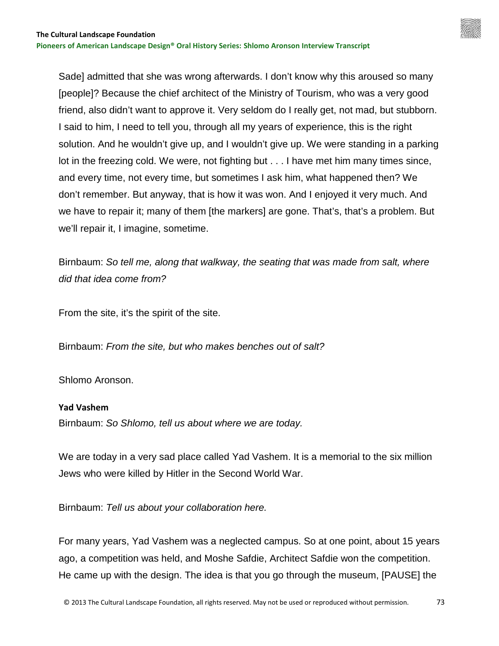Sade] admitted that she was wrong afterwards. I don't know why this aroused so many [people]? Because the chief architect of the Ministry of Tourism, who was a very good friend, also didn't want to approve it. Very seldom do I really get, not mad, but stubborn. I said to him, I need to tell you, through all my years of experience, this is the right solution. And he wouldn't give up, and I wouldn't give up. We were standing in a parking lot in the freezing cold. We were, not fighting but . . . I have met him many times since, and every time, not every time, but sometimes I ask him, what happened then? We don't remember. But anyway, that is how it was won. And I enjoyed it very much. And we have to repair it; many of them [the markers] are gone. That's, that's a problem. But we'll repair it, I imagine, sometime.

Birnbaum: *So tell me, along that walkway, the seating that was made from salt, where did that idea come from?*

From the site, it's the spirit of the site.

Birnbaum: *From the site, but who makes benches out of salt?* 

Shlomo Aronson.

## **Yad Vashem**

Birnbaum: *So Shlomo, tell us about where we are today.*

We are today in a very sad place called Yad Vashem. It is a memorial to the six million Jews who were killed by Hitler in the Second World War.

Birnbaum: *Tell us about your collaboration here.* 

For many years, Yad Vashem was a neglected campus. So at one point, about 15 years ago, a competition was held, and Moshe Safdie, Architect Safdie won the competition. He came up with the design. The idea is that you go through the museum, [PAUSE] the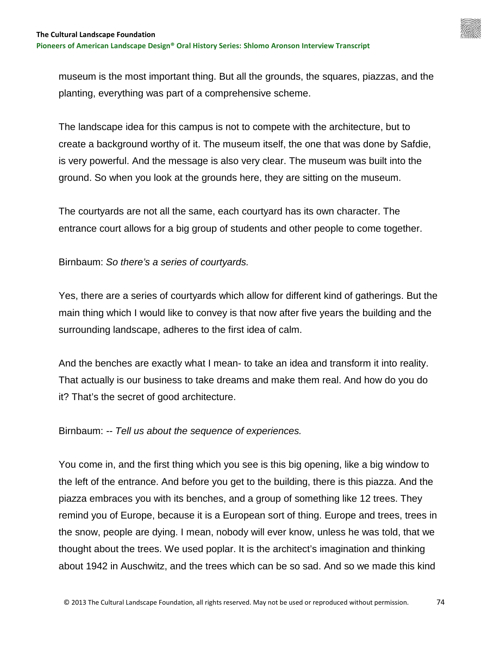

museum is the most important thing. But all the grounds, the squares, piazzas, and the planting, everything was part of a comprehensive scheme.

The landscape idea for this campus is not to compete with the architecture, but to create a background worthy of it. The museum itself, the one that was done by Safdie, is very powerful. And the message is also very clear. The museum was built into the ground. So when you look at the grounds here, they are sitting on the museum.

The courtyards are not all the same, each courtyard has its own character. The entrance court allows for a big group of students and other people to come together.

Birnbaum: *So there's a series of courtyards.*

Yes, there are a series of courtyards which allow for different kind of gatherings. But the main thing which I would like to convey is that now after five years the building and the surrounding landscape, adheres to the first idea of calm.

And the benches are exactly what I mean- to take an idea and transform it into reality. That actually is our business to take dreams and make them real. And how do you do it? That's the secret of good architecture.

Birnbaum: *-- Tell us about the sequence of experiences.*

You come in, and the first thing which you see is this big opening, like a big window to the left of the entrance. And before you get to the building, there is this piazza. And the piazza embraces you with its benches, and a group of something like 12 trees. They remind you of Europe, because it is a European sort of thing. Europe and trees, trees in the snow, people are dying. I mean, nobody will ever know, unless he was told, that we thought about the trees. We used poplar. It is the architect's imagination and thinking about 1942 in Auschwitz, and the trees which can be so sad. And so we made this kind